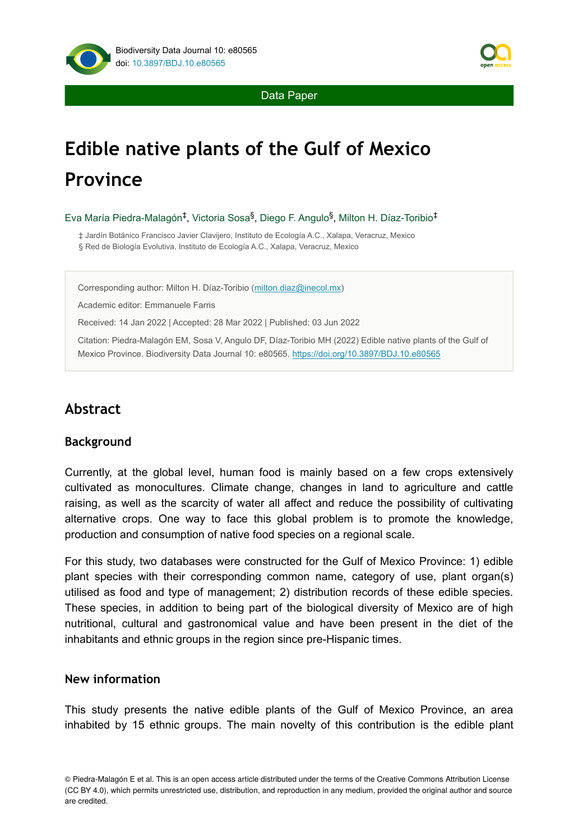

Data Paper

# **Edible native plants of the Gulf of Mexico Province**

Eva María Piedra-Malagón<sup>‡</sup>, Victoria Sosa<sup>§</sup>, Diego F. Angulo<sup>§</sup>, Milton H. Díaz-Toribio<sup>‡</sup>

‡ Jardín Botánico Francisco Javier Clavijero, Instituto de Ecología A.C., Xalapa, Veracruz, Mexico

§ Red de Biología Evolutiva, Instituto de Ecología A.C., Xalapa, Veracruz, Mexico

Corresponding author: Milton H. Díaz-Toribio ([milton.diaz@inecol.mx\)](mailto:milton.diaz@inecol.mx)

Academic editor: Emmanuele Farris

Received: 14 Jan 2022 | Accepted: 28 Mar 2022 | Published: 03 Jun 2022

Citation: Piedra-Malagón EM, Sosa V, Angulo DF, Díaz-Toribio MH (2022) Edible native plants of the Gulf of Mexico Province. Biodiversity Data Journal 10: e80565.<https://doi.org/10.3897/BDJ.10.e80565>

# **Abstract**

#### **Background**

Currently, at the global level, human food is mainly based on a few crops extensively cultivated as monocultures. Climate change, changes in land to agriculture and cattle raising, as well as the scarcity of water all affect and reduce the possibility of cultivating alternative crops. One way to face this global problem is to promote the knowledge, production and consumption of native food species on a regional scale.

For this study, two databases were constructed for the Gulf of Mexico Province: 1) edible plant species with their corresponding common name, category of use, plant organ(s) utilised as food and type of management; 2) distribution records of these edible species. These species, in addition to being part of the biological diversity of Mexico are of high nutritional, cultural and gastronomical value and have been present in the diet of the inhabitants and ethnic groups in the region since pre-Hispanic times.

#### **New information**

This study presents the native edible plants of the Gulf of Mexico Province, an area inhabited by 15 ethnic groups. The main novelty of this contribution is the edible plant

<sup>©</sup> Piedra-Malagón E et al. This is an open access article distributed under the terms of the Creative Commons Attribution License (CC BY 4.0), which permits unrestricted use, distribution, and reproduction in any medium, provided the original author and source are credited.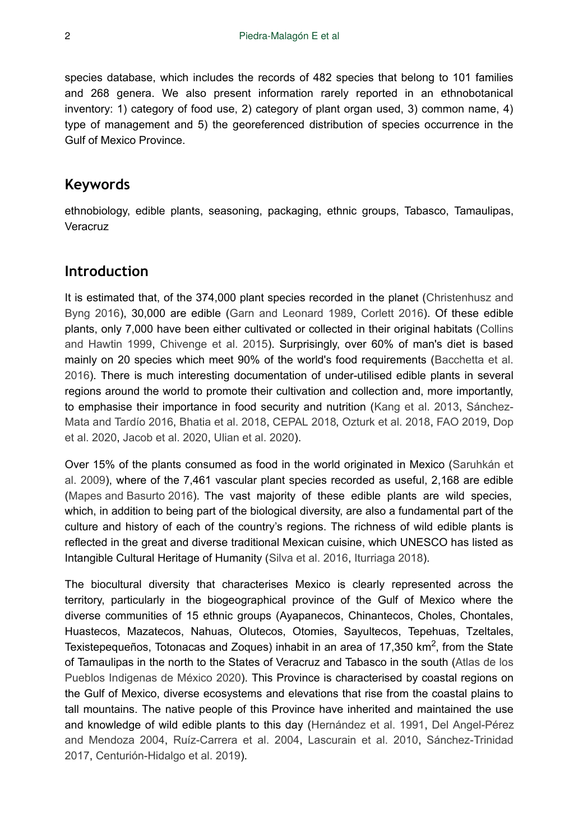species database, which includes the records of 482 species that belong to 101 families and 268 genera. We also present information rarely reported in an ethnobotanical inventory: 1) category of food use, 2) category of plant organ used, 3) common name, 4) type of management and 5) the georeferenced distribution of species occurrence in the Gulf of Mexico Province.

# **Keywords**

ethnobiology, edible plants, seasoning, packaging, ethnic groups, Tabasco, Tamaulipas, **Veracruz** 

# **Introduction**

It is estimated that, of the 374,000 plant species recorded in the planet ([Christenhusz and](#page-35-0) [Byng 2016\)](#page-35-0), 30,000 are edible ([Garn and Leonard 1989,](#page-35-1) [Corlett 2016](#page-35-2)). Of these edible plants, only 7,000 have been either cultivated or collected in their original habitats [\(Collins](#page-35-3) [and Hawtin 1999](#page-35-3), [Chivenge et al. 2015\)](#page-34-0). Surprisingly, over 60% of man's diet is based mainly on 20 species which meet 90% of the world's food requirements [\(Bacchetta et al.](#page-33-0) [2016](#page-33-0)). There is much interesting documentation of under-utilised edible plants in several regions around the world to promote their cultivation and collection and, more importantly, to emphasise their importance in food security and nutrition ([Kang et al. 2013](#page-36-0), [Sánchez-](#page-36-1)[Mata and Tardío 2016](#page-36-1), [Bhatia et al. 2018](#page-34-1), [CEPAL 2018,](#page-34-2) [Ozturk et al. 2018](#page-36-2), [FAO 2019,](#page-35-4) [Dop](#page-35-5) [et al. 2020](#page-35-5), [Jacob et al. 2020](#page-35-6), [Ulian et al. 2020](#page-37-0)).

Over 15% of the plants consumed as food in the world originated in Mexico ([Saruhkán et](#page-37-1) [al. 2009](#page-37-1)), where of the 7,461 vascular plant species recorded as useful, 2,168 are edible [\(Mapes and Basurto 2016](#page-36-3)). The vast majority of these edible plants are wild species, which, in addition to being part of the biological diversity, are also a fundamental part of the culture and history of each of the country's regions. The richness of wild edible plants is reflected in the great and diverse traditional Mexican cuisine, which UNESCO has listed as Intangible Cultural Heritage of Humanity ([Silva et al. 2016,](#page-37-2) [Iturriaga 2018](#page-35-7)).

The biocultural diversity that characterises Mexico is clearly represented across the territory, particularly in the biogeographical province of the Gulf of Mexico where the diverse communities of 15 ethnic groups (Ayapanecos, Chinantecos, Choles, Chontales, Huastecos, Mazatecos, Nahuas, Olutecos, Otomies, Sayultecos, Tepehuas, Tzeltales, Texistepequeños, Totonacas and Zoques) inhabit in an area of 17,350 km<sup>2</sup>, from the State of Tamaulipas in the north to the States of Veracruz and Tabasco in the south [\(Atlas de los](#page-33-1) [Pueblos Indigenas de México 2020\)](#page-33-1). This Province is characterised by coastal regions on the Gulf of Mexico, diverse ecosystems and elevations that rise from the coastal plains to tall mountains. The native people of this Province have inherited and maintained the use and knowledge of wild edible plants to this day ([Hernández et al. 1991](#page-35-8), [Del Angel-Pérez](#page-35-9) [and Mendoza 2004](#page-35-9), [Ruíz-Carrera et al. 2004](#page-36-4), [Lascurain et al. 2010](#page-36-5), [Sánchez-Trinidad](#page-37-3) [2017](#page-37-3), [Centurión-Hidalgo et al. 2019\)](#page-34-3).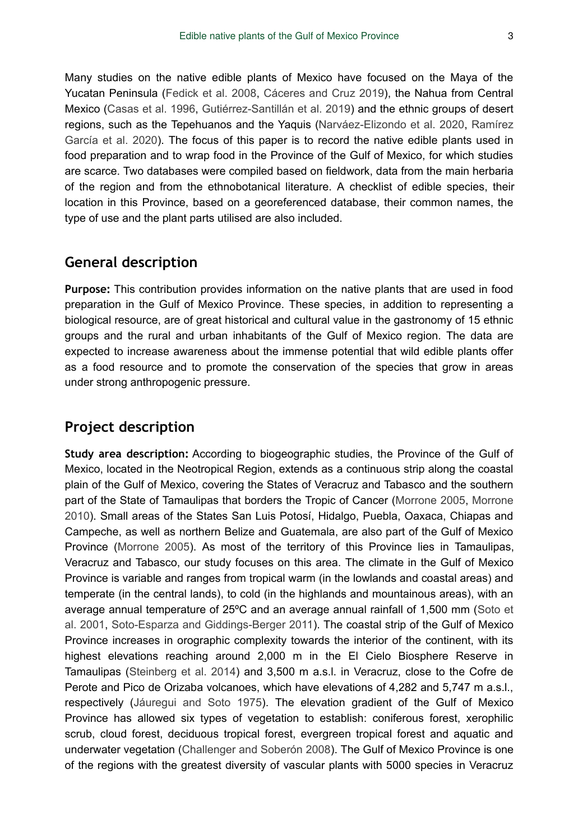Many studies on the native edible plants of Mexico have focused on the Maya of the Yucatan Peninsula ([Fedick et al. 2008](#page-35-10), [Cáceres and Cruz 2019\)](#page-34-4), the Nahua from Central Mexico ([Casas et al. 1996,](#page-34-5) [Gutiérrez-Santillán et al. 2019](#page-35-11)) and the ethnic groups of desert regions, such as the Tepehuanos and the Yaquis ([Narváez-Elizondo et al. 2020,](#page-36-6) [Ramírez](#page-36-7) [García et al. 2020](#page-36-7)). The focus of this paper is to record the native edible plants used in food preparation and to wrap food in the Province of the Gulf of Mexico, for which studies are scarce. Two databases were compiled based on fieldwork, data from the main herbaria of the region and from the ethnobotanical literature. A checklist of edible species, their location in this Province, based on a georeferenced database, their common names, the type of use and the plant parts utilised are also included.

# **General description**

**Purpose:** This contribution provides information on the native plants that are used in food preparation in the Gulf of Mexico Province. These species, in addition to representing a biological resource, are of great historical and cultural value in the gastronomy of 15 ethnic groups and the rural and urban inhabitants of the Gulf of Mexico region. The data are expected to increase awareness about the immense potential that wild edible plants offer as a food resource and to promote the conservation of the species that grow in areas under strong anthropogenic pressure.

# **Project description**

**Study area description:** According to biogeographic studies, the Province of the Gulf of Mexico, located in the Neotropical Region, extends as a continuous strip along the coastal plain of the Gulf of Mexico, covering the States of Veracruz and Tabasco and the southern part of the State of Tamaulipas that borders the Tropic of Cancer ([Morrone 2005](#page-36-8), [Morrone](#page-36-9) [2010](#page-36-9)). Small areas of the States San Luis Potosí, Hidalgo, Puebla, Oaxaca, Chiapas and Campeche, as well as northern Belize and Guatemala, are also part of the Gulf of Mexico Province [\(Morrone 2005](#page-36-8)). As most of the territory of this Province lies in Tamaulipas, Veracruz and Tabasco, our study focuses on this area. The climate in the Gulf of Mexico Province is variable and ranges from tropical warm (in the lowlands and coastal areas) and temperate (in the central lands), to cold (in the highlands and mountainous areas), with an average annual temperature of 25ºC and an average annual rainfall of 1,500 mm [\(Soto et](#page-37-4) [al. 2001,](#page-37-4) [Soto-Esparza and Giddings-Berger 2011](#page-37-5)). The coastal strip of the Gulf of Mexico Province increases in orographic complexity towards the interior of the continent, with its highest elevations reaching around 2,000 m in the El Cielo Biosphere Reserve in Tamaulipas ([Steinberg et al. 2014\)](#page-37-6) and 3,500 m a.s.l. in Veracruz, close to the Cofre de Perote and Pico de Orizaba volcanoes, which have elevations of 4,282 and 5,747 m a.s.l., respectively [\(Jáuregui and Soto 1975\)](#page-35-12). The elevation gradient of the Gulf of Mexico Province has allowed six types of vegetation to establish: coniferous forest, xerophilic scrub, cloud forest, deciduous tropical forest, evergreen tropical forest and aquatic and underwater vegetation [\(Challenger and Soberón 2008](#page-34-6)). The Gulf of Mexico Province is one of the regions with the greatest diversity of vascular plants with 5000 species in Veracruz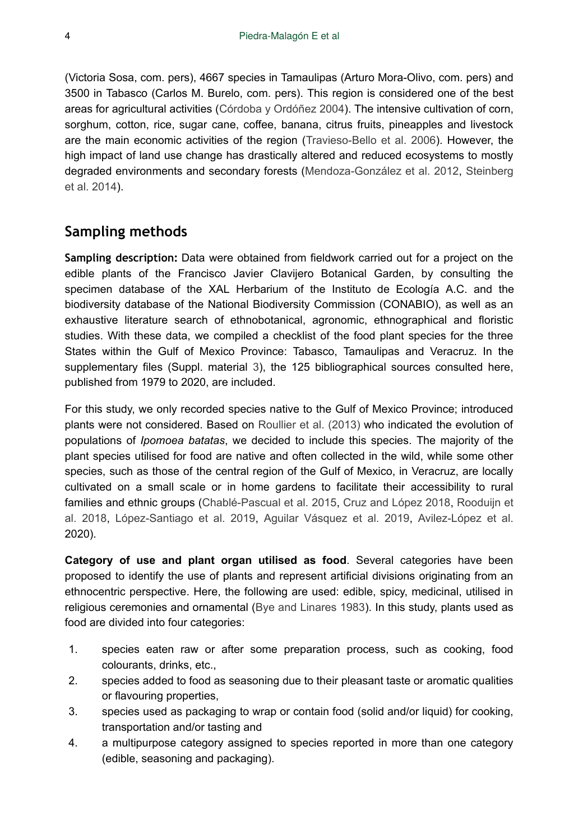(Victoria Sosa, com. pers), 4667 species in Tamaulipas (Arturo Mora-Olivo, com. pers) and 3500 in Tabasco (Carlos M. Burelo, com. pers). This region is considered one of the best areas for agricultural activities [\(Córdoba y Ordóñez 2004\)](#page-35-13). The intensive cultivation of corn, sorghum, cotton, rice, sugar cane, coffee, banana, citrus fruits, pineapples and livestock are the main economic activities of the region [\(Travieso-Bello et al. 2006\)](#page-37-7). However, the high impact of land use change has drastically altered and reduced ecosystems to mostly degraded environments and secondary forests ([Mendoza-González et al. 2012](#page-36-10), [Steinberg](#page-37-6) [et al. 2014](#page-37-6)).

# **Sampling methods**

**Sampling description:** Data were obtained from fieldwork carried out for a project on the edible plants of the Francisco Javier Clavijero Botanical Garden, by consulting the specimen database of the XAL Herbarium of the Instituto de Ecología A.C. and the biodiversity database of the National Biodiversity Commission (CONABIO), as well as an exhaustive literature search of ethnobotanical, agronomic, ethnographical and floristic studies. With these data, we compiled a checklist of the food plant species for the three States within the Gulf of Mexico Province: Tabasco, Tamaulipas and Veracruz. In the supplementary files (Suppl. material [3](#page-38-0)), the 125 bibliographical sources consulted here, published from 1979 to 2020, are included.

For this study, we only recorded species native to the Gulf of Mexico Province; introduced plants were not considered. Based on [Roullier et al. \(2013\)](#page-36-11) who indicated the evolution of populations of *Ipomoea batatas*, we decided to include this species. The majority of the plant species utilised for food are native and often collected in the wild, while some other species, such as those of the central region of the Gulf of Mexico, in Veracruz, are locally cultivated on a small scale or in home gardens to facilitate their accessibility to rural families and ethnic groups [\(Chablé-Pascual et al. 2015](#page-34-7), [Cruz and López 2018](#page-35-14), [Rooduijn et](#page-36-12) [al. 2018](#page-36-12), [López-Santiago et al. 2019,](#page-36-13) [Aguilar Vásquez et al. 2019](#page-33-2), [Avilez-López et al.](#page-33-3) 2020).

**Category of use and plant organ utilised as food**. Several categories have been proposed to identify the use of plants and represent artificial divisions originating from an ethnocentric perspective. Here, the following are used: edible, spicy, medicinal, utilised in religious ceremonies and ornamental ([Bye and Linares 1983](#page-34-8)). In this study, plants used as food are divided into four categories:

- 1. species eaten raw or after some preparation process, such as cooking, food colourants, drinks, etc.,
- 2. species added to food as seasoning due to their pleasant taste or aromatic qualities or flavouring properties,
- 3. species used as packaging to wrap or contain food (solid and/or liquid) for cooking, transportation and/or tasting and
- 4. a multipurpose category assigned to species reported in more than one category (edible, seasoning and packaging).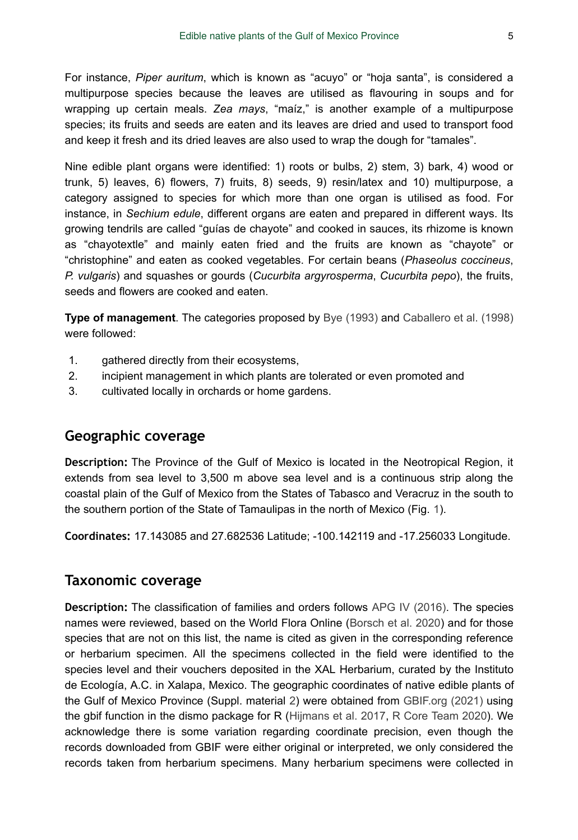For instance, *Piper auritum*, which is known as "acuyo" or "hoja santa", is considered a multipurpose species because the leaves are utilised as flavouring in soups and for wrapping up certain meals. *Zea mays*, "maíz," is another example of a multipurpose species; its fruits and seeds are eaten and its leaves are dried and used to transport food and keep it fresh and its dried leaves are also used to wrap the dough for "tamales".

Nine edible plant organs were identified: 1) roots or bulbs, 2) stem, 3) bark, 4) wood or trunk, 5) leaves, 6) flowers, 7) fruits, 8) seeds, 9) resin/latex and 10) multipurpose, a category assigned to species for which more than one organ is utilised as food. For instance, in *Sechium edule*, different organs are eaten and prepared in different ways. Its growing tendrils are called "guías de chayote" and cooked in sauces, its rhizome is known as "chayotextle" and mainly eaten fried and the fruits are known as "chayote" or "christophine" and eaten as cooked vegetables. For certain beans (*Phaseolus coccineus*, *P. vulgaris*) and squashes or gourds (*Cucurbita argyrosperma*, *Cucurbita pepo*), the fruits, seeds and flowers are cooked and eaten.

**Type of management**. The categories proposed by [Bye \(1993\)](#page-34-9) and [Caballero et al. \(1998\)](#page-34-10) were followed:

- 1. gathered directly from their ecosystems,
- 2. incipient management in which plants are tolerated or even promoted and
- 3. cultivated locally in orchards or home gardens.

## **Geographic coverage**

**Description:** The Province of the Gulf of Mexico is located in the Neotropical Region, it extends from sea level to 3,500 m above sea level and is a continuous strip along the coastal plain of the Gulf of Mexico from the States of Tabasco and Veracruz in the south to the southern portion of the State of Tamaulipas in the north of Mexico (Fig. [1](#page-5-0)).

**Coordinates:** 17.143085 and 27.682536 Latitude; -100.142119 and -17.256033 Longitude.

# **Taxonomic coverage**

**Description:** The classification of families and orders follows [APG IV \(2016\).](#page-33-4) The species names were reviewed, based on the World Flora Online ([Borsch et al. 2020](#page-34-11)) and for those species that are not on this list, the name is cited as given in the corresponding reference or herbarium specimen. All the specimens collected in the field were identified to the species level and their vouchers deposited in the XAL Herbarium, curated by the Instituto de Ecología, A.C. in Xalapa, Mexico. The geographic coordinates of native edible plants of the Gulf of Mexico Province (Suppl. material [2](#page-37-8)) were obtained from [GBIF.org \(2021\)](#page-35-15) using the gbif function in the dismo package for R ([Hijmans et al. 2017,](#page-35-16) [R Core Team 2020\)](#page-36-14). We acknowledge there is some variation regarding coordinate precision, even though the records downloaded from GBIF were either original or interpreted, we only considered the records taken from herbarium specimens. Many herbarium specimens were collected in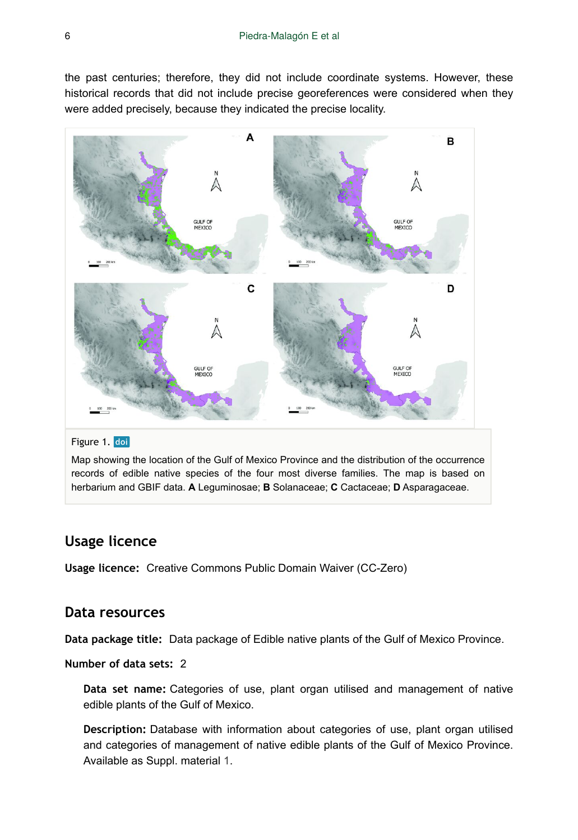the past centuries; therefore, they did not include coordinate systems. However, these historical records that did not include precise georeferences were considered when they were added precisely, because they indicated the precise locality.

<span id="page-5-0"></span>

#### Figure 1. doi

Map showing the location of the Gulf of Mexico Province and the distribution of the occurrence records of edible native species of the four most diverse families. The map is based on herbarium and GBIF data. **A** Leguminosae; **B** Solanaceae; **C** Cactaceae; **D** Asparagaceae.

## **Usage licence**

**Usage licence:** Creative Commons Public Domain Waiver (CC-Zero)

## **Data resources**

**Data package title:** Data package of Edible native plants of the Gulf of Mexico Province.

**Number of data sets:** 2

**Data set name:** Categories of use, plant organ utilised and management of native edible plants of the Gulf of Mexico.

**Description:** Database with information about categories of use, plant organ utilised and categories of management of native edible plants of the Gulf of Mexico Province. Available as Suppl. material [1.](#page-37-9)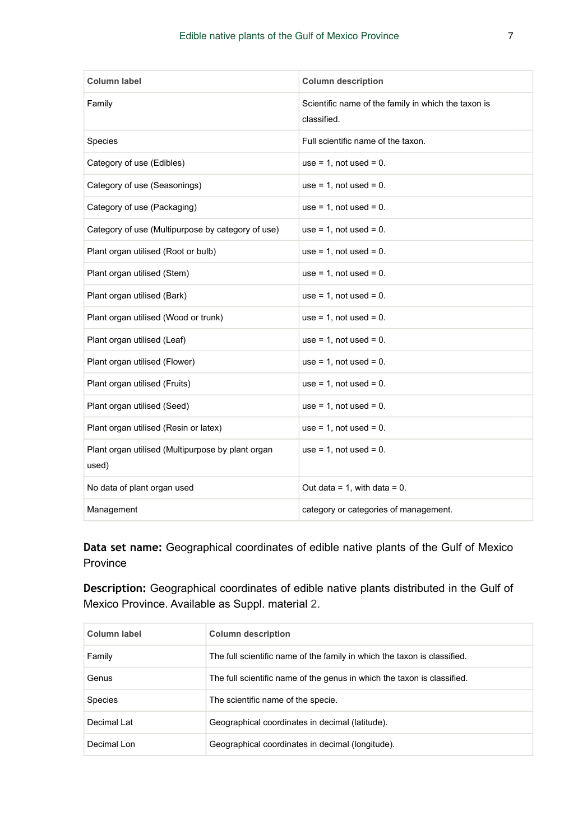| Column label                                               | <b>Column description</b>                                          |
|------------------------------------------------------------|--------------------------------------------------------------------|
| Family                                                     | Scientific name of the family in which the taxon is<br>classified. |
| Species                                                    | Full scientific name of the taxon.                                 |
| Category of use (Edibles)                                  | use = $1$ , not used = $0$ .                                       |
| Category of use (Seasonings)                               | use = $1$ , not used = $0$ .                                       |
| Category of use (Packaging)                                | use = $1$ , not used = $0$ .                                       |
| Category of use (Multipurpose by category of use)          | use = $1$ , not used = $0$ .                                       |
| Plant organ utilised (Root or bulb)                        | use = $1$ , not used = $0$ .                                       |
| Plant organ utilised (Stem)                                | use = $1$ , not used = $0$ .                                       |
| Plant organ utilised (Bark)                                | use = $1$ , not used = $0$ .                                       |
| Plant organ utilised (Wood or trunk)                       | use = $1$ , not used = $0$ .                                       |
| Plant organ utilised (Leaf)                                | use = $1$ , not used = $0$ .                                       |
| Plant organ utilised (Flower)                              | use = $1$ , not used = $0$ .                                       |
| Plant organ utilised (Fruits)                              | use = $1$ , not used = $0$ .                                       |
| Plant organ utilised (Seed)                                | use = $1$ , not used = $0$ .                                       |
| Plant organ utilised (Resin or latex)                      | use = $1$ , not used = $0$ .                                       |
| Plant organ utilised (Multipurpose by plant organ<br>used) | use = $1$ , not used = $0$ .                                       |
| No data of plant organ used                                | Out data = 1, with data = $0$ .                                    |
| Management                                                 | category or categories of management.                              |

**Data set name:** Geographical coordinates of edible native plants of the Gulf of Mexico Province

**Description:** Geographical coordinates of edible native plants distributed in the Gulf of Mexico Province. Available as Suppl. material [2](#page-37-8).

| Column label | <b>Column description</b>                                                |
|--------------|--------------------------------------------------------------------------|
| Family       | The full scientific name of the family in which the taxon is classified. |
| Genus        | The full scientific name of the genus in which the taxon is classified.  |
| Species      | The scientific name of the specie.                                       |
| Decimal Lat  | Geographical coordinates in decimal (latitude).                          |
| Decimal Lon  | Geographical coordinates in decimal (longitude).                         |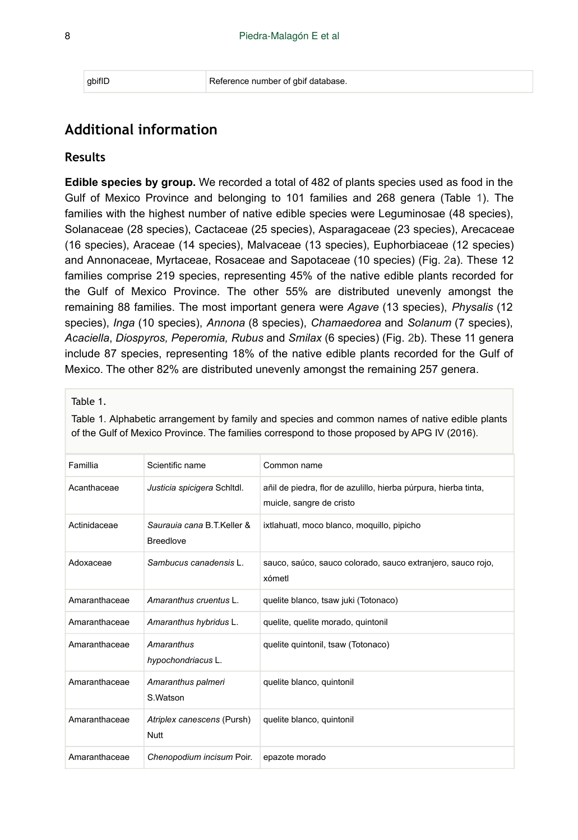# **Additional information**

#### **Results**

**Edible species by group.** We recorded a total of 482 of plants species used as food in the Gulf of Mexico Province and belonging to 101 families and 268 genera (Table [1](#page-7-0)). The families with the highest number of native edible species were Leguminosae (48 species), Solanaceae (28 species), Cactaceae (25 species), Asparagaceae (23 species), Arecaceae (16 species), Araceae (14 species), Malvaceae (13 species), Euphorbiaceae (12 species) and Annonaceae, Myrtaceae, Rosaceae and Sapotaceae (10 species) (Fig. [2](#page-31-0)a). These 12 families comprise 219 species, representing 45% of the native edible plants recorded for the Gulf of Mexico Province. The other 55% are distributed unevenly amongst the remaining 88 families. The most important genera were *Agave* (13 species), *Physalis* (12 species), *Inga* (10 species), *Annona* (8 species), *Chamaedorea* and *Solanum* (7 species), *Acaciella*, *Diospyros, Peperomia, Rubus* and *Smilax* (6 species) (Fig. [2b](#page-31-0)). These 11 genera include 87 species, representing 18% of the native edible plants recorded for the Gulf of Mexico. The other 82% are distributed unevenly amongst the remaining 257 genera.

#### <span id="page-7-0"></span>Table 1.

Table 1. Alphabetic arrangement by family and species and common names of native edible plants of the Gulf of Mexico Province. The families correspond to those proposed by APG IV (2016).

| Famillia      | Scientific name                                | Common name                                                                                 |
|---------------|------------------------------------------------|---------------------------------------------------------------------------------------------|
| Acanthaceae   | Justicia spicigera Schitdl.                    | añil de piedra, flor de azulillo, hierba púrpura, hierba tinta,<br>muicle, sangre de cristo |
| Actinidaceae  | Saurauja cana B.T.Keller &<br><b>Breedlove</b> | ixtlahuatl, moco blanco, moguillo, pipicho                                                  |
| Adoxaceae     | Sambucus canadensis L.                         | sauco, saúco, sauco colorado, sauco extranjero, sauco rojo,<br>xómetl                       |
| Amaranthaceae | Amaranthus cruentus L.                         | quelite blanco, tsaw juki (Totonaco)                                                        |
| Amaranthaceae | Amaranthus hybridus L.                         | quelite, quelite morado, quintonil                                                          |
| Amaranthaceae | Amaranthus<br>hypochondriacus L.               | quelite quintonil, tsaw (Totonaco)                                                          |
| Amaranthaceae | Amaranthus palmeri<br>S.Watson                 | quelite blanco, quintonil                                                                   |
| Amaranthaceae | Atriplex canescens (Pursh)<br><b>Nutt</b>      | quelite blanco, quintonil                                                                   |
| Amaranthaceae | Chenopodium incisum Poir.                      | epazote morado                                                                              |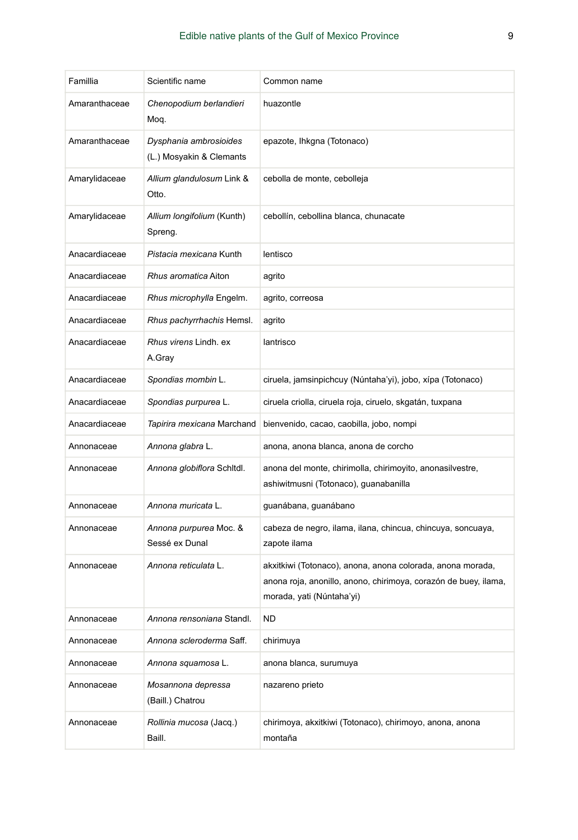| Famillia      | Scientific name                                    | Common name                                                                                                                                                |
|---------------|----------------------------------------------------|------------------------------------------------------------------------------------------------------------------------------------------------------------|
| Amaranthaceae | Chenopodium berlandieri<br>Moq.                    | huazontle                                                                                                                                                  |
| Amaranthaceae | Dysphania ambrosioides<br>(L.) Mosyakin & Clemants | epazote, Ihkgna (Totonaco)                                                                                                                                 |
| Amarylidaceae | Allium glandulosum Link &<br>Otto.                 | cebolla de monte, cebolleja                                                                                                                                |
| Amarylidaceae | Allium longifolium (Kunth)<br>Spreng.              | cebollín, cebollina blanca, chunacate                                                                                                                      |
| Anacardiaceae | Pistacia mexicana Kunth                            | lentisco                                                                                                                                                   |
| Anacardiaceae | Rhus aromatica Aiton                               | agrito                                                                                                                                                     |
| Anacardiaceae | Rhus microphylla Engelm.                           | agrito, correosa                                                                                                                                           |
| Anacardiaceae | Rhus pachyrrhachis Hemsl.                          | agrito                                                                                                                                                     |
| Anacardiaceae | Rhus virens Lindh. ex<br>A.Gray                    | lantrisco                                                                                                                                                  |
| Anacardiaceae | Spondias mombin L.                                 | ciruela, jamsinpichcuy (Núntaha'yi), jobo, xípa (Totonaco)                                                                                                 |
| Anacardiaceae | Spondias purpurea L.                               | ciruela criolla, ciruela roja, ciruelo, skgatán, tuxpana                                                                                                   |
| Anacardiaceae | Tapirira mexicana Marchand                         | bienvenido, cacao, caobilla, jobo, nompi                                                                                                                   |
| Annonaceae    | Annona glabra L.                                   | anona, anona blanca, anona de corcho                                                                                                                       |
| Annonaceae    | Annona globiflora Schitdi.                         | anona del monte, chirimolla, chirimoyito, anonasilvestre,<br>ashiwitmusni (Totonaco), guanabanilla                                                         |
| Annonaceae    | Annona muricata L.                                 | guanábana, guanábano                                                                                                                                       |
| Annonaceae    | Annona purpurea Moc. &<br>Sessé ex Dunal           | cabeza de negro, ilama, ilana, chincua, chincuya, soncuaya,<br>zapote ilama                                                                                |
| Annonaceae    | Annona reticulata L.                               | akxitkiwi (Totonaco), anona, anona colorada, anona morada,<br>anona roja, anonillo, anono, chirimoya, corazón de buey, ilama,<br>morada, yati (Núntaha'yi) |
| Annonaceae    | <i>Annona rensoniana</i> Standl.                   | ND                                                                                                                                                         |
| Annonaceae    | Annona scleroderma Saff.                           | chirimuya                                                                                                                                                  |
| Annonaceae    | Annona squamosa L.                                 | anona blanca, surumuya                                                                                                                                     |
| Annonaceae    | Mosannona depressa<br>(Baill.) Chatrou             | nazareno prieto                                                                                                                                            |
| Annonaceae    | Rollinia mucosa (Jacq.)<br>Baill.                  | chirimoya, akxitkiwi (Totonaco), chirimoyo, anona, anona<br>montaña                                                                                        |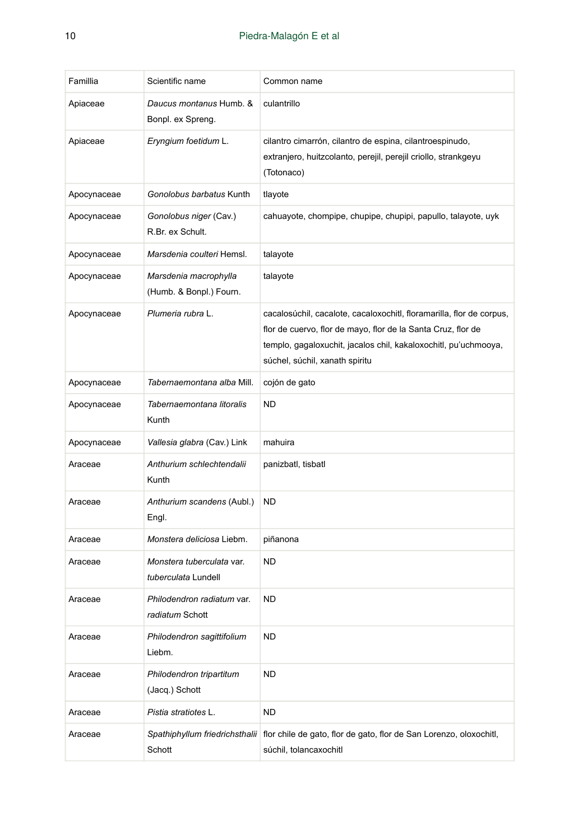| Famillia    | Scientific name                                  | Common name                                                                                                                                                                                                                               |
|-------------|--------------------------------------------------|-------------------------------------------------------------------------------------------------------------------------------------------------------------------------------------------------------------------------------------------|
|             |                                                  |                                                                                                                                                                                                                                           |
| Apiaceae    | Daucus montanus Humb. &<br>Bonpl. ex Spreng.     | culantrillo                                                                                                                                                                                                                               |
| Apiaceae    | Eryngium foetidum L.                             | cilantro cimarrón, cilantro de espina, cilantroespinudo,<br>extranjero, huitzcolanto, perejil, perejil criollo, strankgeyu<br>(Totonaco)                                                                                                  |
| Apocynaceae | Gonolobus barbatus Kunth                         | tlayote                                                                                                                                                                                                                                   |
| Apocynaceae | Gonolobus niger (Cav.)<br>R.Br. ex Schult.       | cahuayote, chompipe, chupipe, chupipi, papullo, talayote, uyk                                                                                                                                                                             |
| Apocynaceae | Marsdenia coulteri Hemsl.                        | talayote                                                                                                                                                                                                                                  |
| Apocynaceae | Marsdenia macrophylla<br>(Humb. & Bonpl.) Fourn. | talayote                                                                                                                                                                                                                                  |
| Apocynaceae | Plumeria rubra L.                                | cacalosúchil, cacalote, cacaloxochitl, floramarilla, flor de corpus,<br>flor de cuervo, flor de mayo, flor de la Santa Cruz, flor de<br>templo, gagaloxuchit, jacalos chil, kakaloxochitl, pu'uchmooya,<br>súchel, súchil, xanath spiritu |
| Apocynaceae | Tabernaemontana alba Mill.                       | cojón de gato                                                                                                                                                                                                                             |
| Apocynaceae | Tabernaemontana litoralis<br>Kunth               | <b>ND</b>                                                                                                                                                                                                                                 |
| Apocynaceae | Vallesia glabra (Cav.) Link                      | mahuira                                                                                                                                                                                                                                   |
| Araceae     | Anthurium schlechtendalii<br>Kunth               | panizbatl, tisbatl                                                                                                                                                                                                                        |
| Araceae     | Anthurium scandens (Aubl.)<br>Engl.              | ND                                                                                                                                                                                                                                        |
| Araceae     | Monstera deliciosa Liebm.                        | piñanona                                                                                                                                                                                                                                  |
| Araceae     | Monstera tuberculata var.<br>tuberculata Lundell | <b>ND</b>                                                                                                                                                                                                                                 |
| Araceae     | Philodendron radiatum var.<br>radiatum Schott    | <b>ND</b>                                                                                                                                                                                                                                 |
| Araceae     | Philodendron sagittifolium<br>Liebm.             | <b>ND</b>                                                                                                                                                                                                                                 |
| Araceae     | Philodendron tripartitum<br>(Jacq.) Schott       | <b>ND</b>                                                                                                                                                                                                                                 |
| Araceae     | Pistia stratiotes L.                             | <b>ND</b>                                                                                                                                                                                                                                 |
| Araceae     | Spathiphyllum friedrichsthalii<br>Schott         | flor chile de gato, flor de gato, flor de San Lorenzo, oloxochitl,<br>súchil, tolancaxochitl                                                                                                                                              |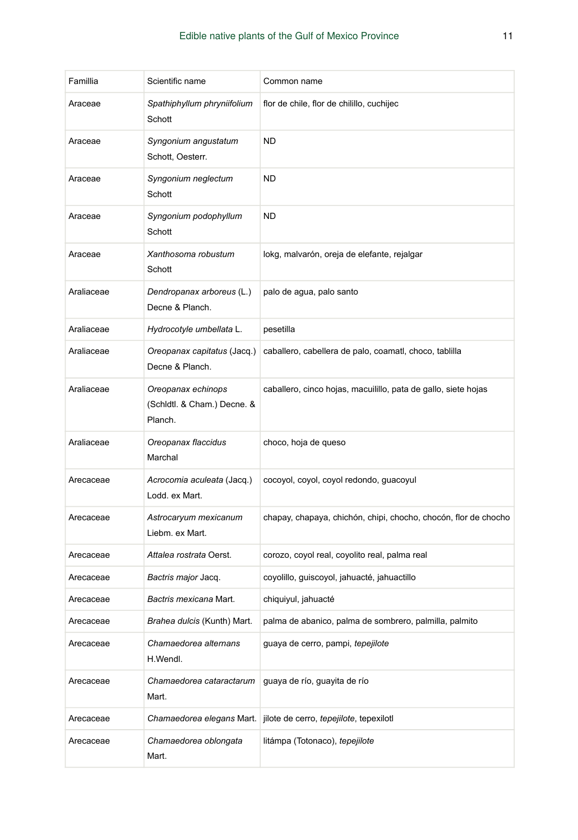| Famillia   | Scientific name                                              | Common name                                                     |
|------------|--------------------------------------------------------------|-----------------------------------------------------------------|
| Araceae    | Spathiphyllum phryniifolium<br>Schott                        | flor de chile, flor de chilillo, cuchijec                       |
| Araceae    | Syngonium angustatum<br>Schott, Oesterr.                     | <b>ND</b>                                                       |
| Araceae    | Syngonium neglectum<br>Schott                                | <b>ND</b>                                                       |
| Araceae    | Syngonium podophyllum<br>Schott                              | <b>ND</b>                                                       |
| Araceae    | Xanthosoma robustum<br>Schott                                | lokg, malvarón, oreja de elefante, rejalgar                     |
| Araliaceae | Dendropanax arboreus (L.)<br>Decne & Planch.                 | palo de agua, palo santo                                        |
| Araliaceae | Hydrocotyle umbellata L.                                     | pesetilla                                                       |
| Araliaceae | Oreopanax capitatus (Jacq.)<br>Decne & Planch.               | caballero, cabellera de palo, coamatl, choco, tablilla          |
| Araliaceae | Oreopanax echinops<br>(Schidtl. & Cham.) Decne. &<br>Planch. | caballero, cinco hojas, macuilillo, pata de gallo, siete hojas  |
| Araliaceae | Oreopanax flaccidus<br>Marchal                               | choco, hoja de queso                                            |
| Arecaceae  | Acrocomia aculeata (Jacq.)<br>Lodd. ex Mart.                 | cocoyol, coyol, coyol redondo, guacoyul                         |
| Arecaceae  | Astrocaryum mexicanum<br>Liebm. ex Mart.                     | chapay, chapaya, chichón, chipi, chocho, chocón, flor de chocho |
| Arecaceae  | Attalea rostrata Oerst.                                      | corozo, coyol real, coyolito real, palma real                   |
| Arecaceae  | Bactris major Jacq.                                          | coyolillo, guiscoyol, jahuacté, jahuactillo                     |
| Arecaceae  | Bactris mexicana Mart.                                       | chiquiyul, jahuacté                                             |
| Arecaceae  | Brahea dulcis (Kunth) Mart.                                  | palma de abanico, palma de sombrero, palmilla, palmito          |
| Arecaceae  | Chamaedorea alternans<br>H.Wendl.                            | guaya de cerro, pampi, tepejilote                               |
| Arecaceae  | Chamaedorea cataractarum<br>Mart.                            | guaya de río, guayita de río                                    |
| Arecaceae  | Chamaedorea elegans Mart.                                    | jilote de cerro, tepejilote, tepexiloti                         |
| Arecaceae  | Chamaedorea oblongata<br>Mart.                               | litámpa (Totonaco), tepejilote                                  |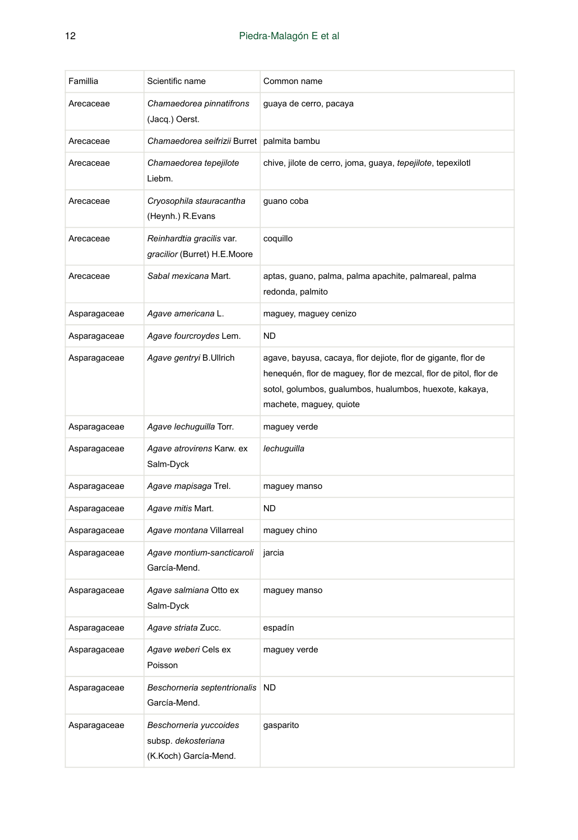| Famillia     | Scientific name                                                        | Common name                                                                                                                                                                                                             |
|--------------|------------------------------------------------------------------------|-------------------------------------------------------------------------------------------------------------------------------------------------------------------------------------------------------------------------|
| Arecaceae    | Chamaedorea pinnatifrons<br>(Jacq.) Oerst.                             | guaya de cerro, pacaya                                                                                                                                                                                                  |
| Arecaceae    | Chamaedorea seifrizii Burret   palmita bambu                           |                                                                                                                                                                                                                         |
| Arecaceae    | Chamaedorea tepejilote<br>Liebm.                                       | chive, jilote de cerro, joma, guaya, tepejilote, tepexilotl                                                                                                                                                             |
| Arecaceae    | Cryosophila stauracantha<br>(Heynh.) R.Evans                           | guano coba                                                                                                                                                                                                              |
| Arecaceae    | Reinhardtia gracilis var.<br>gracilior (Burret) H.E.Moore              | coquillo                                                                                                                                                                                                                |
| Arecaceae    | Sabal mexicana Mart.                                                   | aptas, guano, palma, palma apachite, palmareal, palma<br>redonda, palmito                                                                                                                                               |
| Asparagaceae | Agave americana L.                                                     | maguey, maguey cenizo                                                                                                                                                                                                   |
| Asparagaceae | Agave fourcroydes Lem.                                                 | <b>ND</b>                                                                                                                                                                                                               |
| Asparagaceae | Agave gentryi B.Ullrich                                                | agave, bayusa, cacaya, flor dejiote, flor de gigante, flor de<br>henequén, flor de maguey, flor de mezcal, flor de pitol, flor de<br>sotol, golumbos, gualumbos, hualumbos, huexote, kakaya,<br>machete, maguey, quiote |
| Asparagaceae | Agave lechuguilla Torr.                                                | maguey verde                                                                                                                                                                                                            |
| Asparagaceae | Agave atrovirens Karw. ex<br>Salm-Dyck                                 | lechuguilla                                                                                                                                                                                                             |
| Asparagaceae | Agave mapisaga Trel.                                                   | maguey manso                                                                                                                                                                                                            |
| Asparagaceae | Agave mitis Mart.                                                      | <b>ND</b>                                                                                                                                                                                                               |
| Asparagaceae | Agave montana Villarreal                                               | maguey chino                                                                                                                                                                                                            |
| Asparagaceae | Agave montium-sancticaroli<br>García-Mend.                             | jarcia                                                                                                                                                                                                                  |
| Asparagaceae | Agave salmiana Otto ex<br>Salm-Dyck                                    | maguey manso                                                                                                                                                                                                            |
| Asparagaceae | Agave striata Zucc.                                                    | espadín                                                                                                                                                                                                                 |
| Asparagaceae | Agave weberi Cels ex<br>Poisson                                        | maguey verde                                                                                                                                                                                                            |
| Asparagaceae | Beschorneria septentrionalis<br>García-Mend.                           | <b>ND</b>                                                                                                                                                                                                               |
| Asparagaceae | Beschorneria yuccoides<br>subsp. dekosteriana<br>(K.Koch) García-Mend. | gasparito                                                                                                                                                                                                               |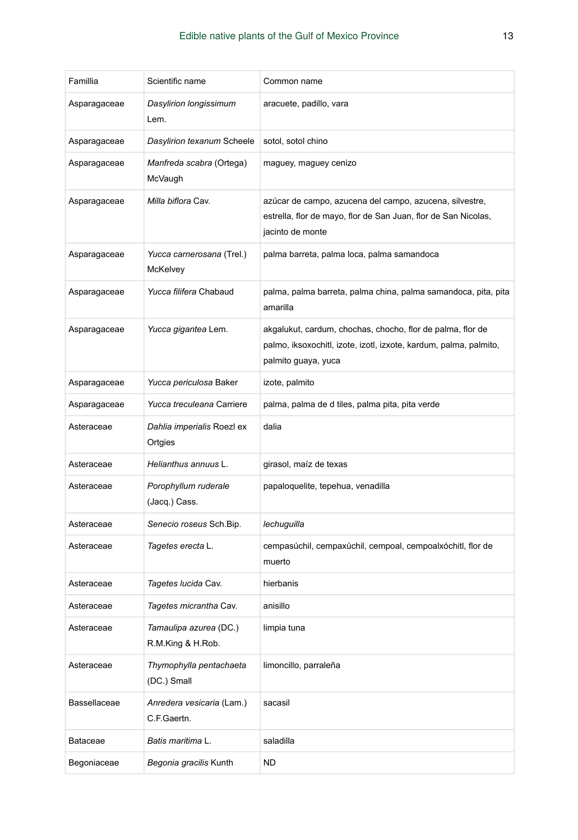| Famillia     | Scientific name                             | Common name                                                                                                                                            |
|--------------|---------------------------------------------|--------------------------------------------------------------------------------------------------------------------------------------------------------|
| Asparagaceae | Dasylirion longissimum<br>Lem.              | aracuete, padillo, vara                                                                                                                                |
| Asparagaceae | Dasylirion texanum Scheele                  | sotol, sotol chino                                                                                                                                     |
| Asparagaceae | Manfreda scabra (Ortega)<br>McVaugh         | maguey, maguey cenizo                                                                                                                                  |
| Asparagaceae | Milla biflora Cav.                          | azúcar de campo, azucena del campo, azucena, silvestre,<br>estrella, flor de mayo, flor de San Juan, flor de San Nicolas,<br>jacinto de monte          |
| Asparagaceae | Yucca carnerosana (Trel.)<br>McKelvey       | palma barreta, palma loca, palma samandoca                                                                                                             |
| Asparagaceae | Yucca filifera Chabaud                      | palma, palma barreta, palma china, palma samandoca, pita, pita<br>amarilla                                                                             |
| Asparagaceae | Yucca gigantea Lem.                         | akgalukut, cardum, chochas, chocho, flor de palma, flor de<br>palmo, iksoxochitl, izote, izotl, izxote, kardum, palma, palmito,<br>palmito guaya, yuca |
| Asparagaceae | Yucca periculosa Baker                      | izote, palmito                                                                                                                                         |
| Asparagaceae | Yucca treculeana Carriere                   | palma, palma de d tiles, palma pita, pita verde                                                                                                        |
| Asteraceae   | Dahlia imperialis Roezl ex                  | dalia                                                                                                                                                  |
|              | Ortgies                                     |                                                                                                                                                        |
| Asteraceae   | Helianthus annuus L.                        | girasol, maíz de texas                                                                                                                                 |
| Asteraceae   | Porophyllum ruderale<br>(Jacq.) Cass.       | papaloquelite, tepehua, venadilla                                                                                                                      |
| Asteraceae   | Senecio roseus Sch. Bip.                    | lechuguilla                                                                                                                                            |
| Asteraceae   | Tagetes erecta L.                           | cempasúchil, cempaxúchil, cempoal, cempoalxóchitl, flor de<br>muerto                                                                                   |
| Asteraceae   | Tagetes lucida Cav.                         | hierbanis                                                                                                                                              |
| Asteraceae   | Tagetes micrantha Cav.                      | anisillo                                                                                                                                               |
| Asteraceae   | Tamaulipa azurea (DC.)<br>R.M.King & H.Rob. | limpia tuna                                                                                                                                            |
| Asteraceae   | Thymophylla pentachaeta<br>(DC.) Small      | limoncillo, parraleña                                                                                                                                  |
| Bassellaceae | Anredera vesicaria (Lam.)<br>C.F.Gaertn.    | sacasil                                                                                                                                                |
| Bataceae     | Batis maritima L.                           | saladilla                                                                                                                                              |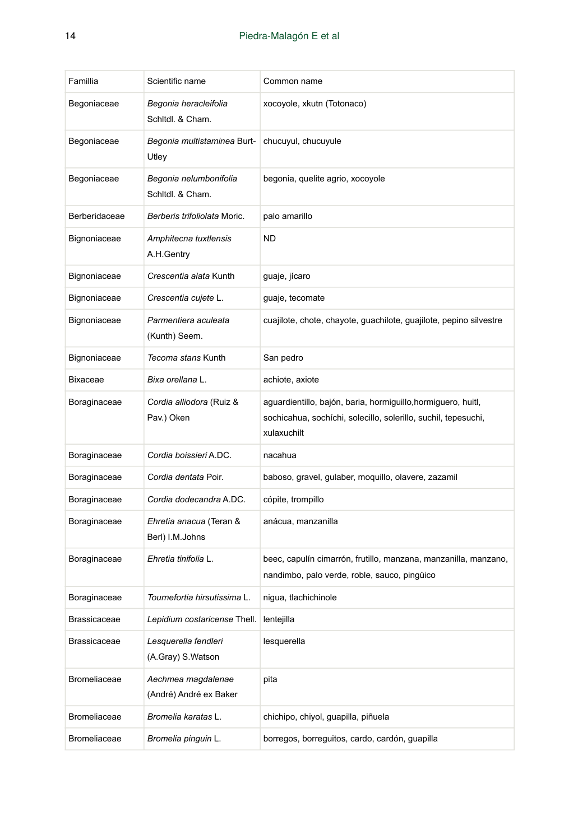| Famillia            | Scientific name                              | Common name                                                                                                                                    |
|---------------------|----------------------------------------------|------------------------------------------------------------------------------------------------------------------------------------------------|
| Begoniaceae         | Begonia heracleifolia<br>Schitdl, & Cham.    | xocoyole, xkutn (Totonaco)                                                                                                                     |
| Begoniaceae         | Begonia multistaminea Burt-<br>Utley         | chucuyul, chucuyule                                                                                                                            |
| Begoniaceae         | Begonia nelumbonifolia<br>Schitdl. & Cham.   | begonia, quelite agrio, xocoyole                                                                                                               |
| Berberidaceae       | Berberis trifoliolata Moric.                 | palo amarillo                                                                                                                                  |
| Bignoniaceae        | Amphitecna tuxtlensis<br>A.H.Gentry          | ND                                                                                                                                             |
| Bignoniaceae        | Crescentia alata Kunth                       | guaje, jícaro                                                                                                                                  |
| Bignoniaceae        | Crescentia cujete L.                         | guaje, tecomate                                                                                                                                |
| Bignoniaceae        | Parmentiera aculeata<br>(Kunth) Seem.        | cuajilote, chote, chayote, guachilote, guajilote, pepino silvestre                                                                             |
| Bignoniaceae        | Tecoma stans Kunth                           | San pedro                                                                                                                                      |
| Bixaceae            | Bixa orellana L.                             | achiote, axiote                                                                                                                                |
| Boraginaceae        | Cordia alliodora (Ruiz &<br>Pav.) Oken       | aguardientillo, bajón, baria, hormiguillo, hormiguero, huitl,<br>sochicahua, sochíchi, solecillo, solerillo, suchil, tepesuchi,<br>xulaxuchilt |
| Boraginaceae        | Cordia boissieri A.DC.                       | nacahua                                                                                                                                        |
| Boraginaceae        | Cordia dentata Poir.                         | baboso, gravel, gulaber, moquillo, olavere, zazamil                                                                                            |
| Boraginaceae        | Cordia dodecandra A.DC.                      | cópite, trompillo                                                                                                                              |
| Boraginaceae        | Ehretia anacua (Teran &<br>Berl) I.M.Johns   | anácua, manzanilla                                                                                                                             |
| Boraginaceae        | Ehretia tinifolia L.                         | beec, capulín cimarrón, frutillo, manzana, manzanilla, manzano,<br>nandimbo, palo verde, roble, sauco, pingüico                                |
| Boraginaceae        | Tournefortia hirsutissima L.                 | nigua, tlachichinole                                                                                                                           |
| Brassicaceae        | Lepidium costaricense Thell.                 | lentejilla                                                                                                                                     |
| <b>Brassicaceae</b> | Lesquerella fendleri<br>(A.Gray) S.Watson    | lesquerella                                                                                                                                    |
| <b>Bromeliaceae</b> | Aechmea magdalenae<br>(André) André ex Baker | pita                                                                                                                                           |
| <b>Bromeliaceae</b> | Bromelia karatas L.                          | chichipo, chiyol, quapilla, piñuela                                                                                                            |
| <b>Bromeliaceae</b> | Bromelia pinguin L.                          | borregos, borreguitos, cardo, cardón, guapilla                                                                                                 |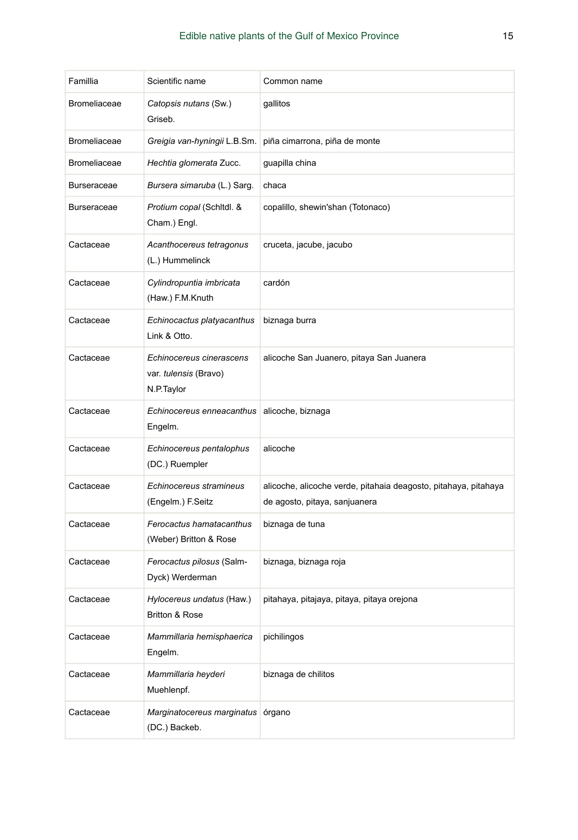| Famillia            | Scientific name                                                 | Common name                                                                                      |
|---------------------|-----------------------------------------------------------------|--------------------------------------------------------------------------------------------------|
| <b>Bromeliaceae</b> | Catopsis nutans (Sw.)<br>Griseb.                                | gallitos                                                                                         |
| <b>Bromeliaceae</b> | Greigia van-hyningii L.B.Sm.                                    | piña cimarrona, piña de monte                                                                    |
| <b>Bromeliaceae</b> | Hechtia glomerata Zucc.                                         | guapilla china                                                                                   |
| <b>Burseraceae</b>  | Bursera simaruba (L.) Sarg.                                     | chaca                                                                                            |
| <b>Burseraceae</b>  | Protium copal (Schitdl. &<br>Cham.) Engl.                       | copalillo, shewin'shan (Totonaco)                                                                |
| Cactaceae           | Acanthocereus tetragonus<br>(L.) Hummelinck                     | cruceta, jacube, jacubo                                                                          |
| Cactaceae           | Cylindropuntia imbricata<br>(Haw.) F.M.Knuth                    | cardón                                                                                           |
| Cactaceae           | Echinocactus platyacanthus<br>Link & Otto.                      | biznaga burra                                                                                    |
| Cactaceae           | Echinocereus cinerascens<br>var. tulensis (Bravo)<br>N.P.Taylor | alicoche San Juanero, pitaya San Juanera                                                         |
| Cactaceae           | Echinocereus enneacanthus<br>Engelm.                            | alicoche, biznaga                                                                                |
| Cactaceae           | Echinocereus pentalophus<br>(DC.) Ruempler                      | alicoche                                                                                         |
| Cactaceae           | Echinocereus stramineus<br>(Engelm.) F.Seitz                    | alicoche, alicoche verde, pitahaia deagosto, pitahaya, pitahaya<br>de agosto, pitaya, sanjuanera |
| Cactaceae           | Ferocactus hamatacanthus<br>(Weber) Britton & Rose              | biznaga de tuna                                                                                  |
| Cactaceae           | Ferocactus pilosus (Salm-<br>Dyck) Werderman                    | biznaga, biznaga roja                                                                            |
| Cactaceae           | Hylocereus undatus (Haw.)<br><b>Britton &amp; Rose</b>          | pitahaya, pitajaya, pitaya, pitaya orejona                                                       |
| Cactaceae           | Mammillaria hemisphaerica<br>Engelm.                            | pichilingos                                                                                      |
| Cactaceae           | Mammillaria heyderi<br>Muehlenpf.                               | biznaga de chilitos                                                                              |
| Cactaceae           | Marginatocereus marginatus organo<br>(DC.) Backeb.              |                                                                                                  |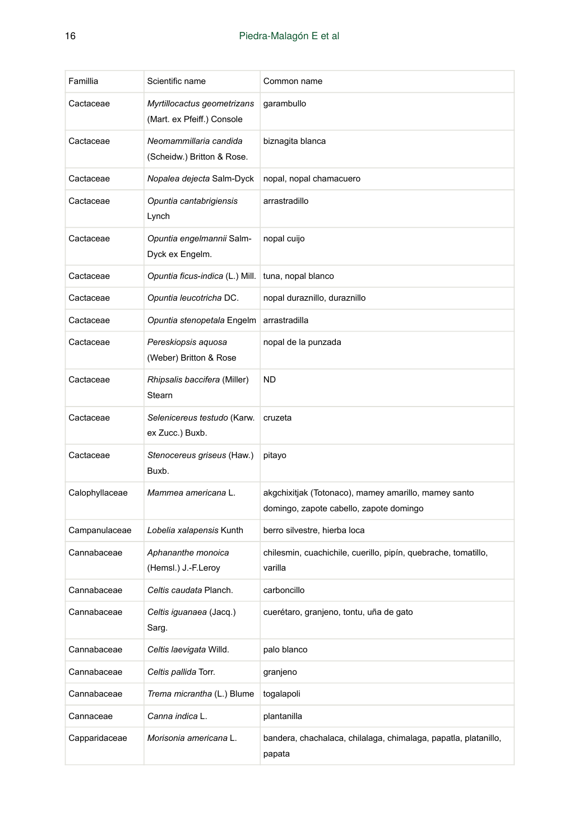| Famillia       | Scientific name                                           | Common name                                                                                     |
|----------------|-----------------------------------------------------------|-------------------------------------------------------------------------------------------------|
| Cactaceae      | Myrtillocactus geometrizans<br>(Mart. ex Pfeiff.) Console | garambullo                                                                                      |
| Cactaceae      | Neomammillaria candida<br>(Scheidw.) Britton & Rose.      | biznagita blanca                                                                                |
| Cactaceae      | Nopalea dejecta Salm-Dyck                                 | nopal, nopal chamacuero                                                                         |
| Cactaceae      | Opuntia cantabrigiensis<br>Lynch                          | arrastradillo                                                                                   |
| Cactaceae      | Opuntia engelmannii Salm-<br>Dyck ex Engelm.              | nopal cuijo                                                                                     |
| Cactaceae      | Opuntia ficus-indica (L.) Mill.                           | tuna, nopal blanco                                                                              |
| Cactaceae      | Opuntia leucotricha DC.                                   | nopal duraznillo, duraznillo                                                                    |
| Cactaceae      | Opuntia stenopetala Engelm                                | arrastradilla                                                                                   |
| Cactaceae      | Pereskiopsis aquosa<br>(Weber) Britton & Rose             | nopal de la punzada                                                                             |
| Cactaceae      | Rhipsalis baccifera (Miller)<br>Stearn                    | <b>ND</b>                                                                                       |
| Cactaceae      | Selenicereus testudo (Karw.<br>ex Zucc.) Buxb.            | cruzeta                                                                                         |
| Cactaceae      | Stenocereus griseus (Haw.)<br>Buxb.                       | pitayo                                                                                          |
| Calophyllaceae | Mammea americana L.                                       | akgchixitjak (Totonaco), mamey amarillo, mamey santo<br>domingo, zapote cabello, zapote domingo |
| Campanulaceae  | Lobelia xalapensis Kunth                                  | berro silvestre, hierba loca                                                                    |
| Cannabaceae    | Aphananthe monoica<br>(Hemsl.) J.-F.Leroy                 | chilesmin, cuachichile, cuerillo, pipín, quebrache, tomatillo,<br>varilla                       |
| Cannabaceae    | Celtis caudata Planch.                                    | carboncillo                                                                                     |
| Cannabaceae    | Celtis iguanaea (Jacq.)<br>Sarg.                          | cuerétaro, granjeno, tontu, uña de gato                                                         |
| Cannabaceae    | Celtis laevigata Willd.                                   | palo blanco                                                                                     |
| Cannabaceae    | Celtis pallida Torr.                                      | granjeno                                                                                        |
| Cannabaceae    | Trema micrantha (L.) Blume                                | togalapoli                                                                                      |
| Cannaceae      | Canna indica L.                                           | plantanilla                                                                                     |
| Capparidaceae  | Morisonia americana L.                                    | bandera, chachalaca, chilalaga, chimalaga, papatla, platanillo,<br>papata                       |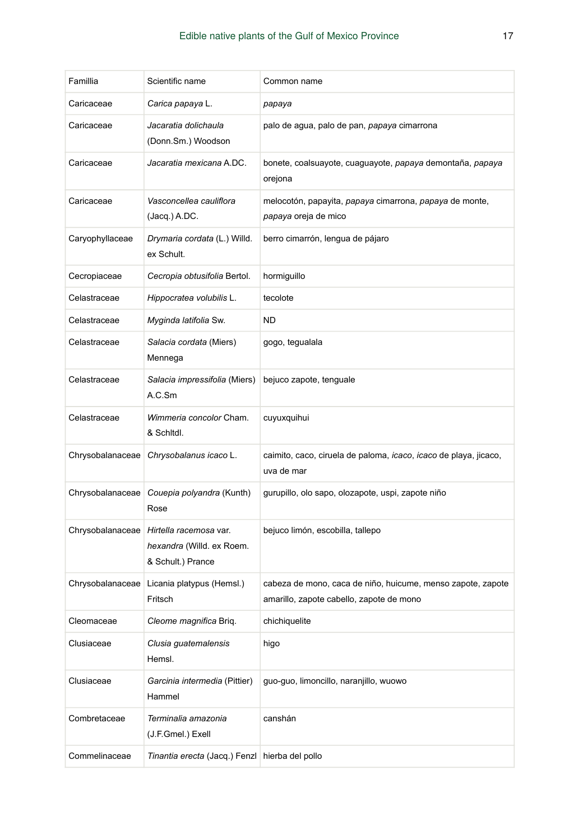| Famillia         | Scientific name                                                          | Common name                                                                                             |
|------------------|--------------------------------------------------------------------------|---------------------------------------------------------------------------------------------------------|
| Caricaceae       | Carica papaya L.                                                         | papaya                                                                                                  |
| Caricaceae       | Jacaratia dolichaula<br>(Donn.Sm.) Woodson                               | palo de agua, palo de pan, papaya cimarrona                                                             |
| Caricaceae       | Jacaratia mexicana A.DC.                                                 | bonete, coalsuayote, cuaguayote, papaya demontaña, papaya<br>orejona                                    |
| Caricaceae       | Vasconcellea cauliflora<br>$(Jacq.)$ A.DC.                               | melocotón, papayita, papaya cimarrona, papaya de monte,<br>papaya oreja de mico                         |
| Caryophyllaceae  | Drymaria cordata (L.) Willd.<br>ex Schult.                               | berro cimarrón, lengua de pájaro                                                                        |
| Cecropiaceae     | Cecropia obtusifolia Bertol.                                             | hormiguillo                                                                                             |
| Celastraceae     | Hippocratea volubilis L.                                                 | tecolote                                                                                                |
| Celastraceae     | Myginda latifolia Sw.                                                    | ND                                                                                                      |
| Celastraceae     | Salacia cordata (Miers)<br>Mennega                                       | gogo, tegualala                                                                                         |
| Celastraceae     | Salacia impressifolia (Miers)<br>A.C.Sm                                  | bejuco zapote, tenguale                                                                                 |
| Celastraceae     | Wimmeria concolor Cham.<br>& Schitdl.                                    | cuyuxquihui                                                                                             |
| Chrysobalanaceae | Chrysobalanus icaco L.                                                   | caimito, caco, ciruela de paloma, icaco, icaco de playa, jicaco,<br>uva de mar                          |
| Chrysobalanaceae | Couepia polyandra (Kunth)<br>Rose                                        | gurupillo, olo sapo, olozapote, uspi, zapote niño                                                       |
| Chrysobalanaceae | Hirtella racemosa var.<br>hexandra (Willd. ex Roem.<br>& Schult.) Prance | bejuco limón, escobilla, tallepo                                                                        |
| Chrysobalanaceae | Licania platypus (Hemsl.)<br>Fritsch                                     | cabeza de mono, caca de niño, huicume, menso zapote, zapote<br>amarillo, zapote cabello, zapote de mono |
| Cleomaceae       | <i>Cleome magnifica</i> Briq.                                            | chichiquelite                                                                                           |
| Clusiaceae       | Clusia guatemalensis<br>Hemsl.                                           | higo                                                                                                    |
| Clusiaceae       | Garcinia intermedia (Pittier)<br>Hammel                                  | guo-guo, limoncillo, naranjillo, wuowo                                                                  |
| Combretaceae     | Terminalia amazonia<br>(J.F.Gmel.) Exell                                 | canshán                                                                                                 |
| Commelinaceae    | Tinantia erecta (Jacq.) Fenzl hierba del pollo                           |                                                                                                         |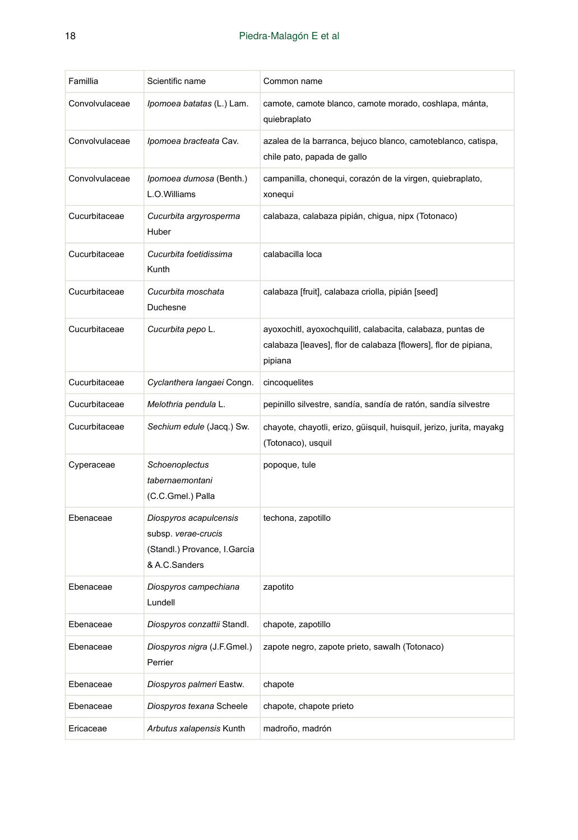| Famillia       | Scientific name                                                                                | Common name                                                                                                                               |
|----------------|------------------------------------------------------------------------------------------------|-------------------------------------------------------------------------------------------------------------------------------------------|
| Convolvulaceae | Ipomoea batatas (L.) Lam.                                                                      | camote, camote blanco, camote morado, coshlapa, mánta,<br>quiebraplato                                                                    |
| Convolvulaceae | Ipomoea bracteata Cav.                                                                         | azalea de la barranca, bejuco blanco, camoteblanco, catispa,<br>chile pato, papada de gallo                                               |
| Convolvulaceae | Ipomoea dumosa (Benth.)<br>L.O.Williams                                                        | campanilla, chonequi, corazón de la virgen, quiebraplato,<br>xonegui                                                                      |
| Cucurbitaceae  | Cucurbita argyrosperma<br>Huber                                                                | calabaza, calabaza pipián, chigua, nipx (Totonaco)                                                                                        |
| Cucurbitaceae  | Cucurbita foetidissima<br>Kunth                                                                | calabacilla loca                                                                                                                          |
| Cucurbitaceae  | Cucurbita moschata<br>Duchesne                                                                 | calabaza [fruit], calabaza criolla, pipián [seed]                                                                                         |
| Cucurbitaceae  | Cucurbita pepo L.                                                                              | ayoxochitl, ayoxochquilitl, calabacita, calabaza, puntas de<br>calabaza [leaves], flor de calabaza [flowers], flor de pipiana,<br>pipiana |
| Cucurbitaceae  | Cyclanthera langaei Congn.                                                                     | cincoquelites                                                                                                                             |
| Cucurbitaceae  | Melothria pendula L.                                                                           | pepinillo silvestre, sandía, sandía de ratón, sandía silvestre                                                                            |
| Cucurbitaceae  | Sechium edule (Jacq.) Sw.                                                                      | chayote, chayotli, erizo, güisquil, huisquil, jerizo, jurita, mayakg<br>(Totonaco), usquil                                                |
| Cyperaceae     | Schoenoplectus<br>tabernaemontani<br>(C.C.Gmel.) Palla                                         | popoque, tule                                                                                                                             |
| Ebenaceae      | Diospyros acapulcensis<br>subsp. verae-crucis<br>(Standl.) Provance, I.García<br>& A.C.Sanders | techona, zapotillo                                                                                                                        |
| Ebenaceae      | Diospyros campechiana<br>Lundell                                                               | zapotito                                                                                                                                  |
| Ebenaceae      | Diospyros conzattii Standl.                                                                    | chapote, zapotillo                                                                                                                        |
| Ebenaceae      | Diospyros nigra (J.F.Gmel.)<br>Perrier                                                         | zapote negro, zapote prieto, sawalh (Totonaco)                                                                                            |
| Ebenaceae      | Diospyros palmeri Eastw.                                                                       | chapote                                                                                                                                   |
| Ebenaceae      | Diospyros texana Scheele                                                                       | chapote, chapote prieto                                                                                                                   |
| Ericaceae      | Arbutus xalapensis Kunth                                                                       | madroño, madrón                                                                                                                           |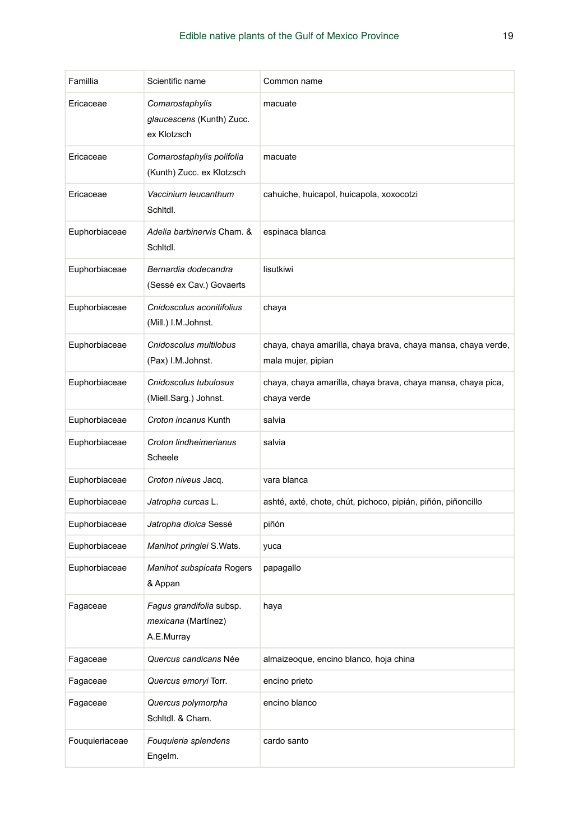| Famillia       | Scientific name                                               | Common name                                                                         |
|----------------|---------------------------------------------------------------|-------------------------------------------------------------------------------------|
| Ericaceae      | Comarostaphylis<br>glaucescens (Kunth) Zucc.<br>ex Klotzsch   | macuate                                                                             |
| Ericaceae      | Comarostaphylis polifolia<br>(Kunth) Zucc. ex Klotzsch        | macuate                                                                             |
| Ericaceae      | Vaccinium leucanthum<br>Schitdl.                              | cahuiche, huicapol, huicapola, xoxocotzi                                            |
| Euphorbiaceae  | Adelia barbinervis Cham. &<br>Schitdl.                        | espinaca blanca                                                                     |
| Euphorbiaceae  | Bernardia dodecandra<br>(Sessé ex Cav.) Govaerts              | lisutkiwi                                                                           |
| Euphorbiaceae  | Cnidoscolus aconitifolius<br>(Mill.) I.M.Johnst.              | chaya                                                                               |
| Euphorbiaceae  | Cnidoscolus multilobus<br>(Pax) I.M.Johnst.                   | chaya, chaya amarilla, chaya brava, chaya mansa, chaya verde,<br>mala mujer, pipian |
| Euphorbiaceae  | Cnidoscolus tubulosus<br>(Miell.Sarg.) Johnst.                | chaya, chaya amarilla, chaya brava, chaya mansa, chaya pica,<br>chaya verde         |
| Euphorbiaceae  | Croton incanus Kunth                                          | salvia                                                                              |
| Euphorbiaceae  | Croton lindheimerianus<br>Scheele                             | salvia                                                                              |
| Euphorbiaceae  | Croton niveus Jacq.                                           | vara blanca                                                                         |
| Euphorbiaceae  | Jatropha curcas L.                                            | ashté, axté, chote, chút, pichoco, pipián, piñón, piñoncillo                        |
| Euphorbiaceae  | Jatropha dioica Sessé                                         | piñón                                                                               |
| Euphorbiaceae  | Manihot pringlei S.Wats.                                      | yuca                                                                                |
| Euphorbiaceae  | Manihot subspicata Rogers<br>& Appan                          | papagallo                                                                           |
| Fagaceae       | Fagus grandifolia subsp.<br>mexicana (Martínez)<br>A.E.Murray | haya                                                                                |
| Fagaceae       | Quercus candicans Née                                         | almaizeoque, encino blanco, hoja china                                              |
| Fagaceae       | Quercus emoryi Torr.                                          | encino prieto                                                                       |
| Fagaceae       | Quercus polymorpha<br>Schitdl. & Cham.                        | encino blanco                                                                       |
| Fouquieriaceae | Fouquieria splendens<br>Engelm.                               | cardo santo                                                                         |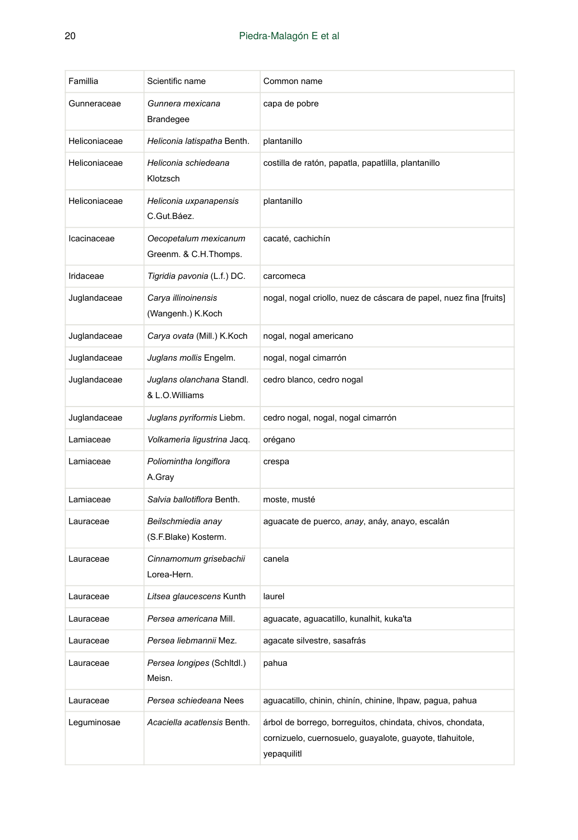| Famillia      | Scientific name                                | Common name                                                                                                                           |
|---------------|------------------------------------------------|---------------------------------------------------------------------------------------------------------------------------------------|
| Gunneraceae   | Gunnera mexicana<br>Brandegee                  | capa de pobre                                                                                                                         |
| Heliconiaceae | Heliconia latispatha Benth.                    | plantanillo                                                                                                                           |
| Heliconiaceae | Heliconia schiedeana<br>Klotzsch               | costilla de ratón, papatla, papatlilla, plantanillo                                                                                   |
| Heliconiaceae | Heliconia uxpanapensis<br>C.Gut.Báez.          | plantanillo                                                                                                                           |
| Icacinaceae   | Oecopetalum mexicanum<br>Greenm. & C.H.Thomps. | cacaté, cachichín                                                                                                                     |
| Iridaceae     | Tigridia pavonia (L.f.) DC.                    | carcomeca                                                                                                                             |
| Juglandaceae  | Carya illinoinensis<br>(Wangenh.) K.Koch       | nogal, nogal criollo, nuez de cáscara de papel, nuez fina [fruits]                                                                    |
| Juglandaceae  | Carya ovata (Mill.) K.Koch                     | nogal, nogal americano                                                                                                                |
| Juglandaceae  | Juglans mollis Engelm.                         | nogal, nogal cimarrón                                                                                                                 |
| Juglandaceae  | Juglans olanchana Standl.<br>& L.O.Williams    | cedro blanco, cedro nogal                                                                                                             |
| Juglandaceae  | Juglans pyriformis Liebm.                      | cedro nogal, nogal, nogal cimarrón                                                                                                    |
| Lamiaceae     | Volkameria ligustrina Jacq.                    | orégano                                                                                                                               |
| Lamiaceae     | Poliomintha longiflora<br>A.Gray               | crespa                                                                                                                                |
| Lamiaceae     | Salvia ballotiflora Benth.                     | moste, musté                                                                                                                          |
| Lauraceae     | Beilschmiedia anay<br>(S.F.Blake) Kosterm.     | aguacate de puerco, anay, anáy, anayo, escalán                                                                                        |
| Lauraceae     | Cinnamomum grisebachii<br>Lorea-Hern.          | canela                                                                                                                                |
| Lauraceae     | Litsea glaucescens Kunth                       | laurel                                                                                                                                |
| Lauraceae     | Persea americana Mill.                         | aguacate, aguacatillo, kunalhit, kuka'ta                                                                                              |
| Lauraceae     | Persea liebmannii Mez.                         | agacate silvestre, sasafrás                                                                                                           |
| Lauraceae     | Persea longipes (Schitdl.)<br>Meisn.           | pahua                                                                                                                                 |
| Lauraceae     | Persea schiedeana Nees                         | aguacatillo, chinin, chinín, chinine, lhpaw, pagua, pahua                                                                             |
| Lequminosae   | Acaciella acatlensis Benth.                    | árbol de borrego, borreguitos, chindata, chivos, chondata,<br>cornizuelo, cuernosuelo, guayalote, guayote, tlahuitole,<br>yepaquilitl |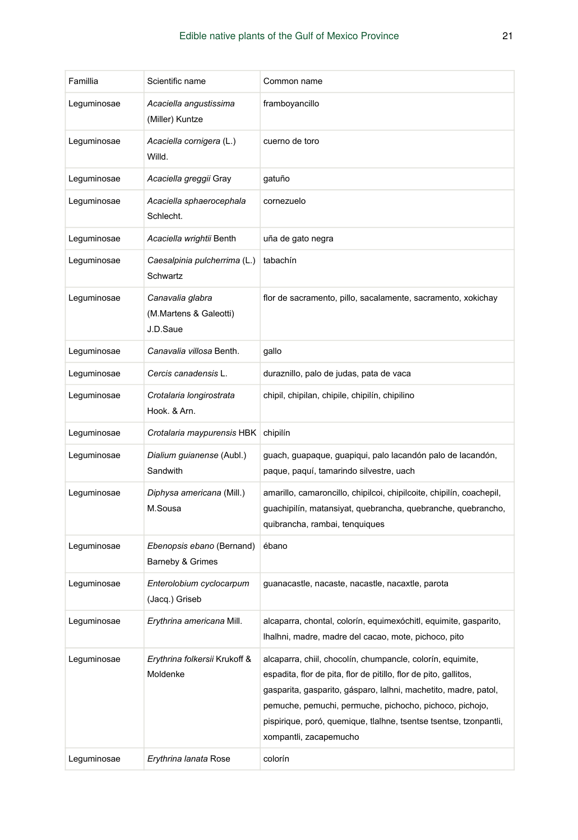| Famillia    | Scientific name                                        | Common name                                                                                                                                                                                                                                                                                                                                                 |
|-------------|--------------------------------------------------------|-------------------------------------------------------------------------------------------------------------------------------------------------------------------------------------------------------------------------------------------------------------------------------------------------------------------------------------------------------------|
| Leguminosae | Acaciella angustissima<br>(Miller) Kuntze              | framboyancillo                                                                                                                                                                                                                                                                                                                                              |
| Lequminosae | Acaciella cornigera (L.)<br>Willd.                     | cuerno de toro                                                                                                                                                                                                                                                                                                                                              |
| Leguminosae | Acaciella greggii Gray                                 | gatuño                                                                                                                                                                                                                                                                                                                                                      |
| Leguminosae | Acaciella sphaerocephala<br>Schlecht.                  | cornezuelo                                                                                                                                                                                                                                                                                                                                                  |
| Leguminosae | Acaciella wrightii Benth                               | uña de gato negra                                                                                                                                                                                                                                                                                                                                           |
| Leguminosae | Caesalpinia pulcherrima (L.)<br>Schwartz               | tabachín                                                                                                                                                                                                                                                                                                                                                    |
| Leguminosae | Canavalia glabra<br>(M.Martens & Galeotti)<br>J.D.Saue | flor de sacramento, pillo, sacalamente, sacramento, xokichay                                                                                                                                                                                                                                                                                                |
| Leguminosae | Canavalia villosa Benth.                               | gallo                                                                                                                                                                                                                                                                                                                                                       |
| Leguminosae | Cercis canadensis L.                                   | duraznillo, palo de judas, pata de vaca                                                                                                                                                                                                                                                                                                                     |
| Leguminosae | Crotalaria longirostrata<br>Hook. & Arn.               | chipil, chipilan, chipile, chipilín, chipilino                                                                                                                                                                                                                                                                                                              |
| Leguminosae | Crotalaria maypurensis HBK                             | chipilín                                                                                                                                                                                                                                                                                                                                                    |
| Leguminosae | Dialium guianense (Aubl.)<br>Sandwith                  | guach, guapaque, guapiqui, palo lacandón palo de lacandón,<br>paque, paquí, tamarindo silvestre, uach                                                                                                                                                                                                                                                       |
| Leguminosae | Diphysa americana (Mill.)<br>M.Sousa                   | amarillo, camaroncillo, chipilcoi, chipilcoite, chipilín, coachepil,<br>guachipilín, matansiyat, quebrancha, quebranche, quebrancho,<br>quibrancha, rambai, tenquiques                                                                                                                                                                                      |
| Leguminosae | Ebenopsis ebano (Bernand)<br>Barneby & Grimes          | ébano                                                                                                                                                                                                                                                                                                                                                       |
| Leguminosae | Enterolobium cyclocarpum<br>(Jacq.) Griseb             | guanacastle, nacaste, nacastle, nacaxtle, parota                                                                                                                                                                                                                                                                                                            |
| Leguminosae | Erythrina americana Mill.                              | alcaparra, chontal, colorín, equimexóchitl, equimite, gasparito,<br>Ihalhni, madre, madre del cacao, mote, pichoco, pito                                                                                                                                                                                                                                    |
| Lequminosae | Erythrina folkersii Krukoff &<br>Moldenke              | alcaparra, chiil, chocolín, chumpancle, colorín, equimite,<br>espadita, flor de pita, flor de pitillo, flor de pito, gallitos,<br>gasparita, gasparito, gásparo, lalhni, machetito, madre, patol,<br>pemuche, pemuchi, permuche, pichocho, pichoco, pichojo,<br>pispirique, poró, quemique, tlalhne, tsentse tsentse, tzonpantli,<br>xompantli, zacapemucho |
| Leguminosae | Erythrina lanata Rose                                  | colorín                                                                                                                                                                                                                                                                                                                                                     |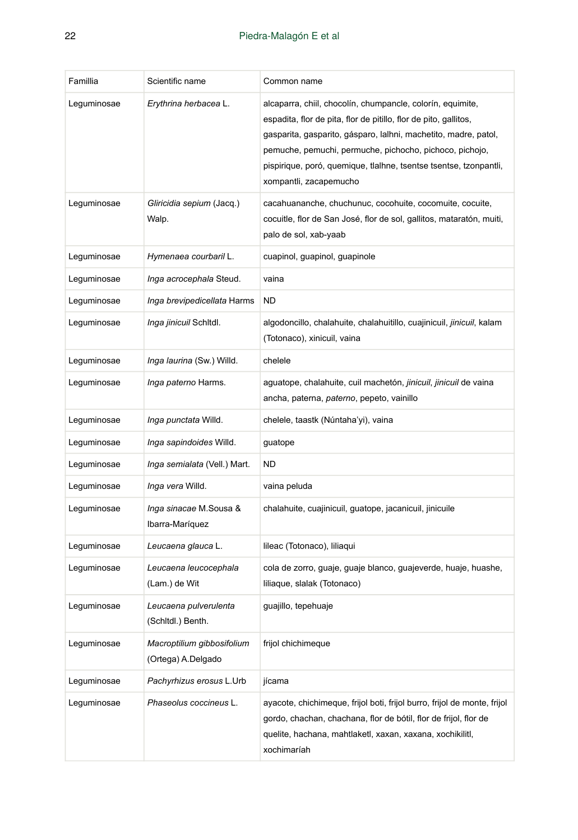| Famillia    | Scientific name                                  | Common name                                                                                                                                                                                                                                                                                                                                                 |
|-------------|--------------------------------------------------|-------------------------------------------------------------------------------------------------------------------------------------------------------------------------------------------------------------------------------------------------------------------------------------------------------------------------------------------------------------|
| Leguminosae | Erythrina herbacea L.                            | alcaparra, chiil, chocolín, chumpancle, colorín, equimite,<br>espadita, flor de pita, flor de pitillo, flor de pito, gallitos,<br>gasparita, gasparito, gásparo, lalhni, machetito, madre, patol,<br>pemuche, pemuchi, permuche, pichocho, pichoco, pichojo,<br>pispirique, poró, quemique, tlalhne, tsentse tsentse, tzonpantli,<br>xompantli, zacapemucho |
| Leguminosae | Gliricidia sepium (Jacq.)<br>Walp.               | cacahuananche, chuchunuc, cocohuite, cocomuite, cocuite,<br>cocuitle, flor de San José, flor de sol, gallitos, mataratón, muiti,<br>palo de sol, xab-yaab                                                                                                                                                                                                   |
| Leguminosae | Hymenaea courbaril L.                            | cuapinol, guapinol, guapinole                                                                                                                                                                                                                                                                                                                               |
| Leguminosae | Inga acrocephala Steud.                          | vaina                                                                                                                                                                                                                                                                                                                                                       |
| Leguminosae | Inga brevipedicellata Harms                      | <b>ND</b>                                                                                                                                                                                                                                                                                                                                                   |
| Leguminosae | <i>Inga jinicuil</i> Schitdl.                    | algodoncillo, chalahuite, chalahuitillo, cuajinicuil, jinicuil, kalam<br>(Totonaco), xinicuil, vaina                                                                                                                                                                                                                                                        |
| Leguminosae | <i>Inga laurina</i> (Sw.) Willd.                 | chelele                                                                                                                                                                                                                                                                                                                                                     |
| Leguminosae | Inga paterno Harms.                              | aguatope, chalahuite, cuil machetón, jinicuil, jinicuil de vaina<br>ancha, paterna, paterno, pepeto, vainillo                                                                                                                                                                                                                                               |
| Leguminosae | <i>Inga punctata Willd.</i>                      | chelele, taastk (Núntaha'yi), vaina                                                                                                                                                                                                                                                                                                                         |
| Leguminosae | <i>Inga sapindoides</i> Willd.                   | guatope                                                                                                                                                                                                                                                                                                                                                     |
| Leguminosae | <i>Inga semialata</i> (Vell.) Mart.              | <b>ND</b>                                                                                                                                                                                                                                                                                                                                                   |
| Leguminosae | <i>Inga vera</i> Willd.                          | vaina peluda                                                                                                                                                                                                                                                                                                                                                |
| Leguminosae | Inga sinacae M.Sousa &<br>Ibarra-Maríquez        | chalahuite, cuajinicuil, guatope, jacanicuil, jinicuile                                                                                                                                                                                                                                                                                                     |
| Leguminosae | Leucaena glauca L.                               | lileac (Totonaco), liliaqui                                                                                                                                                                                                                                                                                                                                 |
| Leguminosae | Leucaena leucocephala<br>(Lam.) de Wit           | cola de zorro, guaje, guaje blanco, guajeverde, huaje, huashe,<br>liliaque, slalak (Totonaco)                                                                                                                                                                                                                                                               |
| Leguminosae | Leucaena pulverulenta<br>(Schltdl.) Benth.       | guajillo, tepehuaje                                                                                                                                                                                                                                                                                                                                         |
| Lequminosae | Macroptilium gibbosifolium<br>(Ortega) A.Delgado | frijol chichimeque                                                                                                                                                                                                                                                                                                                                          |
| Leguminosae | Pachyrhizus erosus L.Urb                         | jícama                                                                                                                                                                                                                                                                                                                                                      |
| Leguminosae | Phaseolus coccineus L.                           | ayacote, chichimeque, frijol boti, frijol burro, frijol de monte, frijol<br>gordo, chachan, chachana, flor de bótil, flor de frijol, flor de<br>quelite, hachana, mahtlaketl, xaxan, xaxana, xochikilitl,<br>xochimaríah                                                                                                                                    |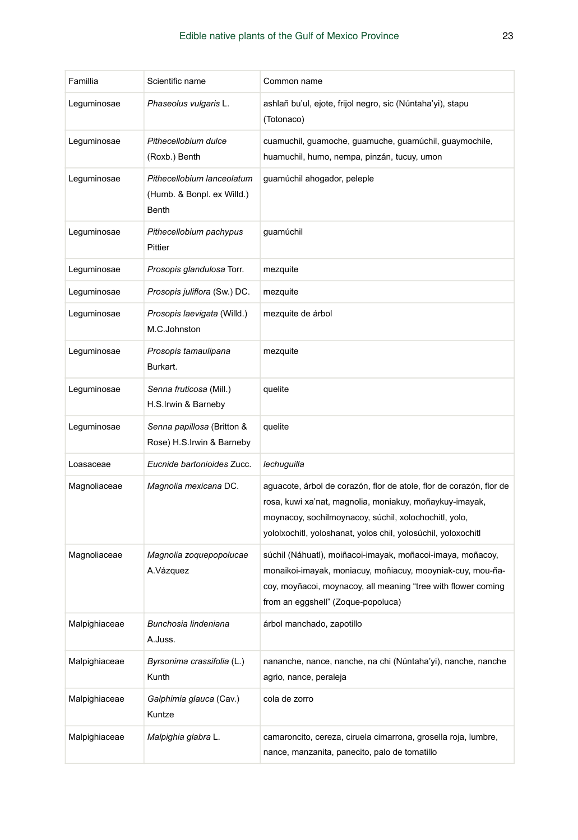| Famillia      | Scientific name                                                   | Common name                                                                                                                                                                                                                                              |
|---------------|-------------------------------------------------------------------|----------------------------------------------------------------------------------------------------------------------------------------------------------------------------------------------------------------------------------------------------------|
| Lequminosae   | Phaseolus vulgaris L.                                             | ashlañ bu'ul, ejote, frijol negro, sic (Núntaha'yi), stapu<br>(Totonaco)                                                                                                                                                                                 |
| Leguminosae   | Pithecellobium dulce<br>(Roxb.) Benth                             | cuamuchil, guamoche, guamuche, guamúchil, guaymochile,<br>huamuchil, humo, nempa, pinzán, tucuy, umon                                                                                                                                                    |
| Leguminosae   | Pithecellobium lanceolatum<br>(Humb. & Bonpl. ex Willd.)<br>Benth | guamúchil ahogador, peleple                                                                                                                                                                                                                              |
| Leguminosae   | Pithecellobium pachypus<br>Pittier                                | guamúchil                                                                                                                                                                                                                                                |
| Leguminosae   | Prosopis glandulosa Torr.                                         | mezquite                                                                                                                                                                                                                                                 |
| Leguminosae   | Prosopis juliflora (Sw.) DC.                                      | mezquite                                                                                                                                                                                                                                                 |
| Leguminosae   | Prosopis laevigata (Willd.)<br>M.C.Johnston                       | mezquite de árbol                                                                                                                                                                                                                                        |
| Leguminosae   | Prosopis tamaulipana<br>Burkart.                                  | mezquite                                                                                                                                                                                                                                                 |
| Leguminosae   | Senna fruticosa (Mill.)<br>H.S.Irwin & Barneby                    | quelite                                                                                                                                                                                                                                                  |
| Leguminosae   | Senna papillosa (Britton &<br>Rose) H.S.Irwin & Barneby           | quelite                                                                                                                                                                                                                                                  |
| Loasaceae     | Eucnide bartonioides Zucc.                                        | lechuguilla                                                                                                                                                                                                                                              |
| Magnoliaceae  | Magnolia mexicana DC.                                             | aguacote, árbol de corazón, flor de atole, flor de corazón, flor de<br>rosa, kuwi xa'nat, magnolia, moniakuy, moñaykuy-imayak,<br>moynacoy, sochilmoynacoy, súchil, xolochochitl, yolo,<br>yololxochitl, yoloshanat, yolos chil, yolosúchil, yoloxochitl |
| Magnoliaceae  | Magnolia zoquepopolucae<br>A.Vázquez                              | súchil (Náhuatl), moiñacoi-imayak, moñacoi-imaya, moñacoy,<br>monaikoi-imayak, moniacuy, moñiacuy, mooyniak-cuy, mou-ña-<br>coy, moyñacoi, moynacoy, all meaning "tree with flower coming<br>from an eggshell" (Zoque-popoluca)                          |
| Malpighiaceae | Bunchosia lindeniana<br>A.Juss.                                   | árbol manchado, zapotillo                                                                                                                                                                                                                                |
| Malpighiaceae | Byrsonima crassifolia (L.)<br>Kunth                               | nananche, nance, nanche, na chi (Núntaha'yi), nanche, nanche<br>agrio, nance, peraleja                                                                                                                                                                   |
| Malpighiaceae | Galphimia glauca (Cav.)<br>Kuntze                                 | cola de zorro                                                                                                                                                                                                                                            |
| Malpighiaceae | Malpighia glabra L.                                               | camaroncito, cereza, ciruela cimarrona, grosella roja, lumbre,<br>nance, manzanita, panecito, palo de tomatillo                                                                                                                                          |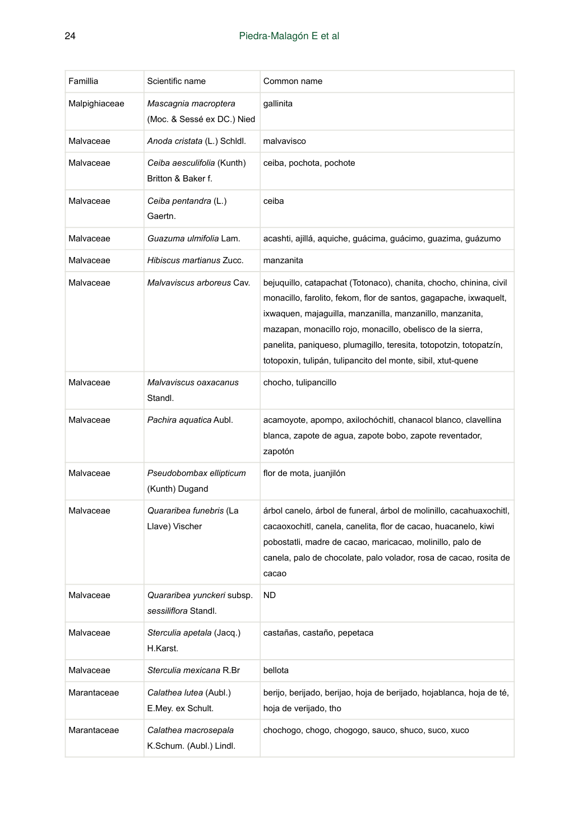| Famillia      | Scientific name                                    | Common name                                                                                                                                                                                                                                                                                                                                                                                             |
|---------------|----------------------------------------------------|---------------------------------------------------------------------------------------------------------------------------------------------------------------------------------------------------------------------------------------------------------------------------------------------------------------------------------------------------------------------------------------------------------|
| Malpighiaceae | Mascagnia macroptera<br>(Moc. & Sessé ex DC.) Nied | gallinita                                                                                                                                                                                                                                                                                                                                                                                               |
| Malvaceae     | Anoda cristata (L.) Schidl.                        | malvavisco                                                                                                                                                                                                                                                                                                                                                                                              |
| Malvaceae     | Ceiba aesculifolia (Kunth)<br>Britton & Baker f.   | ceiba, pochota, pochote                                                                                                                                                                                                                                                                                                                                                                                 |
| Malvaceae     | Ceiba pentandra (L.)<br>Gaertn.                    | ceiba                                                                                                                                                                                                                                                                                                                                                                                                   |
| Malvaceae     | Guazuma ulmifolia Lam.                             | acashti, ajillá, aquiche, guácima, guácimo, guazima, guázumo                                                                                                                                                                                                                                                                                                                                            |
| Malvaceae     | Hibiscus martianus Zucc.                           | manzanita                                                                                                                                                                                                                                                                                                                                                                                               |
| Malvaceae     | Malvaviscus arboreus Cav.                          | bejuguillo, catapachat (Totonaco), chanita, chocho, chinina, civil<br>monacillo, farolito, fekom, flor de santos, gagapache, ixwaquelt,<br>ixwaquen, majaguilla, manzanilla, manzanillo, manzanita,<br>mazapan, monacillo rojo, monacillo, obelisco de la sierra,<br>panelita, paniqueso, plumagillo, teresita, totopotzin, totopatzín,<br>totopoxin, tulipán, tulipancito del monte, sibil, xtut-quene |
| Malvaceae     | Malvaviscus oaxacanus<br>Standl.                   | chocho, tulipancillo                                                                                                                                                                                                                                                                                                                                                                                    |
| Malvaceae     | Pachira aquatica Aubl.                             | acamoyote, apompo, axilochóchitl, chanacol blanco, clavellina<br>blanca, zapote de agua, zapote bobo, zapote reventador,<br>zapotón                                                                                                                                                                                                                                                                     |
| Malvaceae     | Pseudobombax ellipticum<br>(Kunth) Dugand          | flor de mota, juanjilón                                                                                                                                                                                                                                                                                                                                                                                 |
| Malvaceae     | Quararibea funebris (La<br>Llave) Vischer          | árbol canelo, árbol de funeral, árbol de molinillo, cacahuaxochitl,<br>cacaoxochitl, canela, canelita, flor de cacao, huacanelo, kiwi<br>pobostatli, madre de cacao, maricacao, molinillo, palo de<br>canela, palo de chocolate, palo volador, rosa de cacao, rosita de<br>cacao                                                                                                                        |
| Malvaceae     | Quararibea yunckeri subsp.<br>sessiliflora Standl. | <b>ND</b>                                                                                                                                                                                                                                                                                                                                                                                               |
| Malvaceae     | Sterculia apetala (Jacq.)<br>H.Karst.              | castañas, castaño, pepetaca                                                                                                                                                                                                                                                                                                                                                                             |
| Malvaceae     | Sterculia mexicana R.Br                            | bellota                                                                                                                                                                                                                                                                                                                                                                                                 |
| Marantaceae   | Calathea lutea (Aubl.)<br>E.Mey. ex Schult.        | berijo, berijado, berijao, hoja de berijado, hojablanca, hoja de té,<br>hoja de verijado, tho                                                                                                                                                                                                                                                                                                           |
| Marantaceae   | Calathea macrosepala<br>K.Schum. (Aubl.) Lindl.    | chochogo, chogo, chogogo, sauco, shuco, suco, xuco                                                                                                                                                                                                                                                                                                                                                      |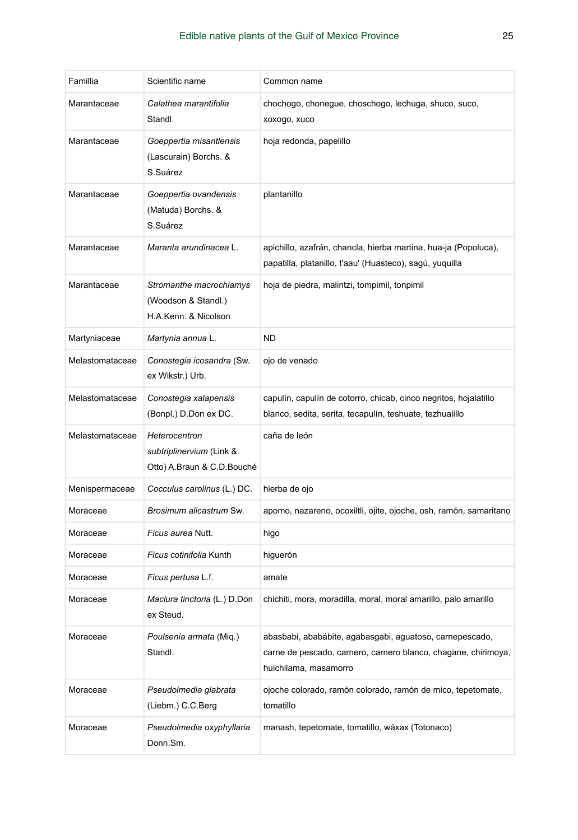| Famillia        | Scientific name                                                         | Common name                                                                                                                                         |
|-----------------|-------------------------------------------------------------------------|-----------------------------------------------------------------------------------------------------------------------------------------------------|
| Marantaceae     | Calathea marantifolia<br>Standl.                                        | chochogo, chonegue, choschogo, lechuga, shuco, suco,<br>xoxogo, xuco                                                                                |
| Marantaceae     | Goeppertia misantlensis<br>(Lascurain) Borchs. &<br>S.Suárez            | hoja redonda, papelillo                                                                                                                             |
| Marantaceae     | Goeppertia ovandensis<br>(Matuda) Borchs. &<br>S.Suárez                 | plantanillo                                                                                                                                         |
| Marantaceae     | Maranta arundinacea L.                                                  | apichillo, azafrán, chancla, hierba martina, hua-ja (Popoluca),<br>papatilla, platanillo, t'aau' (Huasteco), sagú, yuquilla                         |
| Marantaceae     | Stromanthe macrochlamys<br>(Woodson & Standl.)<br>H.A.Kenn. & Nicolson  | hoja de piedra, malintzi, tompimil, tonpimil                                                                                                        |
| Martyniaceae    | Martynia annua L.                                                       | ND.                                                                                                                                                 |
| Melastomataceae | Conostegia icosandra (Sw.<br>ex Wikstr.) Urb.                           | ojo de venado                                                                                                                                       |
| Melastomataceae | Conostegia xalapensis<br>(Bonpl.) D.Don ex DC.                          | capulín, capulín de cotorro, chicab, cinco negritos, hojalatillo<br>blanco, sedita, serita, tecapulín, teshuate, tezhualillo                        |
| Melastomataceae | Heterocentron<br>subtriplinervium (Link &<br>Otto) A.Braun & C.D.Bouché | caña de león                                                                                                                                        |
| Menispermaceae  | Cocculus carolinus (L.) DC.                                             | hierba de ojo                                                                                                                                       |
| Moraceae        | Brosimum alicastrum Sw.                                                 | apomo, nazareno, ocoxiltli, ojite, ojoche, osh, ramón, samaritano                                                                                   |
| Moraceae        | Ficus aurea Nutt.                                                       | higo                                                                                                                                                |
| Moraceae        | Ficus cotinifolia Kunth                                                 | higuerón                                                                                                                                            |
| Moraceae        | Ficus pertusa L.f.                                                      | amate                                                                                                                                               |
| Moraceae        | Maclura tinctoria (L.) D.Don<br>ex Steud.                               | chichiti, mora, moradilla, moral, moral amarillo, palo amarillo                                                                                     |
| Moraceae        | Poulsenia armata (Miq.)<br>Standl.                                      | abasbabi, ababábite, agabasgabi, aguatoso, carnepescado,<br>carne de pescado, carnero, carnero blanco, chagane, chirimoya,<br>huichilama, masamorro |
| Moraceae        | Pseudolmedia glabrata<br>(Liebm.) C.C.Berg                              | ojoche colorado, ramón colorado, ramón de mico, tepetomate,<br>tomatillo                                                                            |
| Moraceae        | Pseudolmedia oxyphyllaria<br>Donn.Sm.                                   | manash, tepetomate, tomatillo, wáxax (Totonaco)                                                                                                     |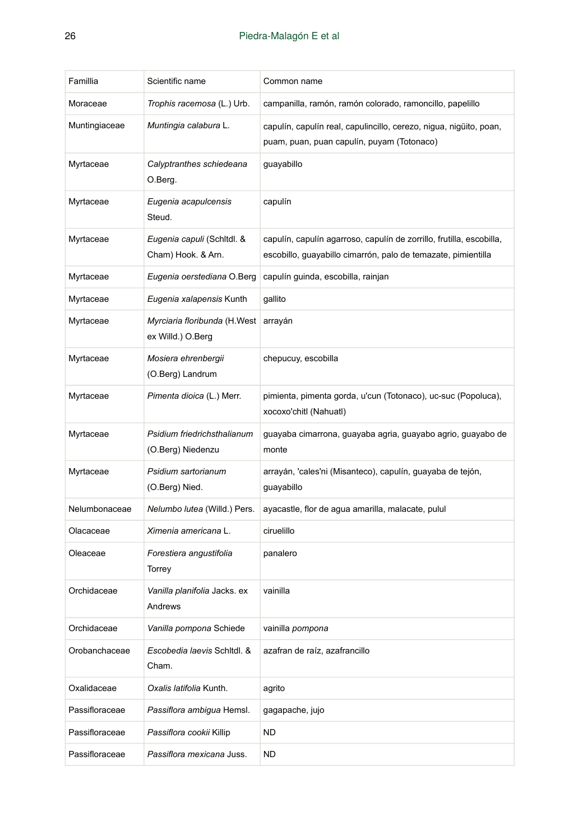| Famillia       | Scientific name                                   | Common name                                                                                                                           |
|----------------|---------------------------------------------------|---------------------------------------------------------------------------------------------------------------------------------------|
| Moraceae       | Trophis racemosa (L.) Urb.                        | campanilla, ramón, ramón colorado, ramoncillo, papelillo                                                                              |
| Muntingiaceae  | Muntingia calabura L.                             | capulín, capulín real, capulincillo, cerezo, nigua, nigüito, poan,<br>puam, puan, puan capulín, puyam (Totonaco)                      |
| Myrtaceae      | Calyptranthes schiedeana<br>O.Berg.               | guayabillo                                                                                                                            |
| Myrtaceae      | Eugenia acapulcensis<br>Steud.                    | capulín                                                                                                                               |
| Myrtaceae      | Eugenia capuli (Schitdi. &<br>Cham) Hook. & Arn.  | capulín, capulín agarroso, capulín de zorrillo, frutilla, escobilla,<br>escobillo, guayabillo cimarrón, palo de temazate, pimientilla |
| Myrtaceae      | Eugenia oerstediana O.Berg                        | capulín guinda, escobilla, rainjan                                                                                                    |
| Myrtaceae      | Eugenia xalapensis Kunth                          | gallito                                                                                                                               |
| Myrtaceae      | Myrciaria floribunda (H.West<br>ex Willd.) O.Berg | arrayán                                                                                                                               |
| Myrtaceae      | Mosiera ehrenbergii<br>(O.Berg) Landrum           | chepucuy, escobilla                                                                                                                   |
| Myrtaceae      | Pimenta dioica (L.) Merr.                         | pimienta, pimenta gorda, u'cun (Totonaco), uc-suc (Popoluca),<br>xocoxo'chitl (Nahuatl)                                               |
| Myrtaceae      | Psidium friedrichsthalianum<br>(O.Berg) Niedenzu  | guayaba cimarrona, guayaba agria, guayabo agrio, guayabo de<br>monte                                                                  |
| Myrtaceae      | Psidium sartorianum<br>(O.Berg) Nied.             | arrayán, 'cales'ni (Misanteco), capulín, guayaba de tejón,<br>guayabillo                                                              |
| Nelumbonaceae  | Nelumbo lutea (Willd.) Pers.                      | ayacastle, flor de agua amarilla, malacate, pulul                                                                                     |
| Olacaceae      | Ximenia americana L.                              | ciruelillo                                                                                                                            |
| Oleaceae       | Forestiera angustifolia<br>Torrey                 | panalero                                                                                                                              |
| Orchidaceae    | Vanilla planifolia Jacks. ex<br>Andrews           | vainilla                                                                                                                              |
| Orchidaceae    | Vanilla pompona Schiede                           | vainilla pompona                                                                                                                      |
| Orobanchaceae  | Escobedia laevis Schitdl. &<br>Cham.              | azafran de raíz, azafrancillo                                                                                                         |
| Oxalidaceae    | Oxalis latifolia Kunth.                           | agrito                                                                                                                                |
| Passifloraceae | Passiflora ambigua Hemsl.                         | gagapache, jujo                                                                                                                       |
| Passifloraceae | Passiflora cookii Killip                          | <b>ND</b>                                                                                                                             |
| Passifloraceae | Passiflora mexicana Juss.                         | <b>ND</b>                                                                                                                             |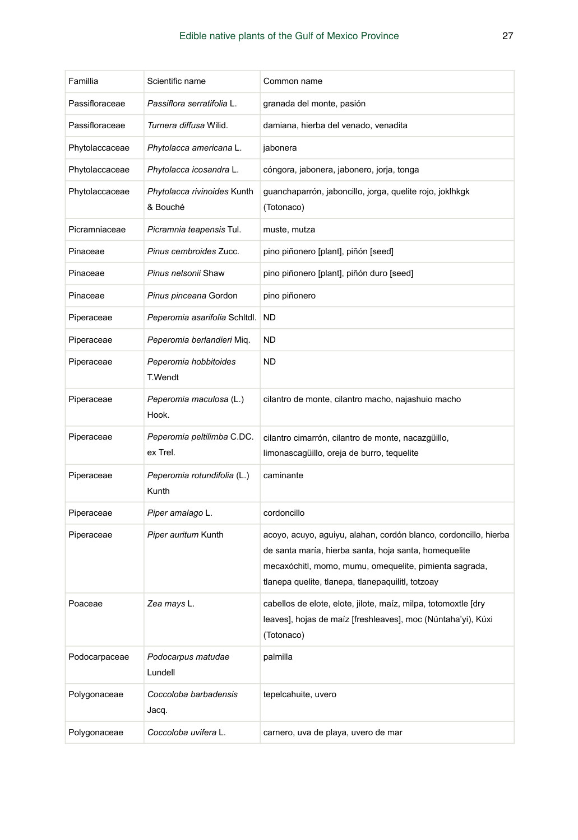| Famillia       | Scientific name                         | Common name                                                                                                                                                                                                                              |
|----------------|-----------------------------------------|------------------------------------------------------------------------------------------------------------------------------------------------------------------------------------------------------------------------------------------|
| Passifloraceae | Passiflora serratifolia L.              | granada del monte, pasión                                                                                                                                                                                                                |
| Passifloraceae | Turnera diffusa Wilid.                  | damiana, hierba del venado, venadita                                                                                                                                                                                                     |
| Phytolaccaceae | Phytolacca americana L.                 | jabonera                                                                                                                                                                                                                                 |
| Phytolaccaceae | Phytolacca icosandra L.                 | cóngora, jabonera, jabonero, jorja, tonga                                                                                                                                                                                                |
| Phytolaccaceae | Phytolacca rivinoides Kunth<br>& Bouché | guanchaparrón, jaboncillo, jorga, quelite rojo, joklhkgk<br>(Totonaco)                                                                                                                                                                   |
| Picramniaceae  | Picramnia teapensis Tul.                | muste, mutza                                                                                                                                                                                                                             |
| Pinaceae       | Pinus cembroides Zucc.                  | pino piñonero [plant], piñón [seed]                                                                                                                                                                                                      |
| Pinaceae       | Pinus nelsonii Shaw                     | pino piñonero [plant], piñón duro [seed]                                                                                                                                                                                                 |
| Pinaceae       | Pinus pinceana Gordon                   | pino piñonero                                                                                                                                                                                                                            |
| Piperaceae     | Peperomia asarifolia Schitdi.           | ND                                                                                                                                                                                                                                       |
| Piperaceae     | Peperomia berlandieri Miq.              | ND                                                                                                                                                                                                                                       |
| Piperaceae     | Peperomia hobbitoides<br>T.Wendt        | <b>ND</b>                                                                                                                                                                                                                                |
| Piperaceae     | Peperomia maculosa (L.)<br>Hook.        | cilantro de monte, cilantro macho, najashuio macho                                                                                                                                                                                       |
| Piperaceae     | Peperomia peltilimba C.DC.<br>ex Trel.  | cilantro cimarrón, cilantro de monte, nacazgüillo,<br>limonascagüillo, oreja de burro, tequelite                                                                                                                                         |
| Piperaceae     | Peperomia rotundifolia (L.)<br>Kunth    | caminante                                                                                                                                                                                                                                |
| Piperaceae     | Piper amalago L.                        | cordoncillo                                                                                                                                                                                                                              |
| Piperaceae     | Piper auritum Kunth                     | acoyo, acuyo, aguiyu, alahan, cordón blanco, cordoncillo, hierba<br>de santa maría, hierba santa, hoja santa, homequelite<br>mecaxóchitl, momo, mumu, omequelite, pimienta sagrada,<br>tlanepa quelite, tlanepa, tlanepaquilitl, totzoay |
| Poaceae        | Zea mays L.                             | cabellos de elote, elote, jilote, maíz, milpa, totomoxtle [dry<br>leaves], hojas de maíz [freshleaves], moc (Núntaha'yi), Kúxi<br>(Totonaco)                                                                                             |
| Podocarpaceae  | Podocarpus matudae<br>Lundell           | palmilla                                                                                                                                                                                                                                 |
| Polygonaceae   | Coccoloba barbadensis<br>Jacq.          | tepelcahuite, uvero                                                                                                                                                                                                                      |
| Polygonaceae   | Coccoloba uvifera L.                    | carnero, uva de playa, uvero de mar                                                                                                                                                                                                      |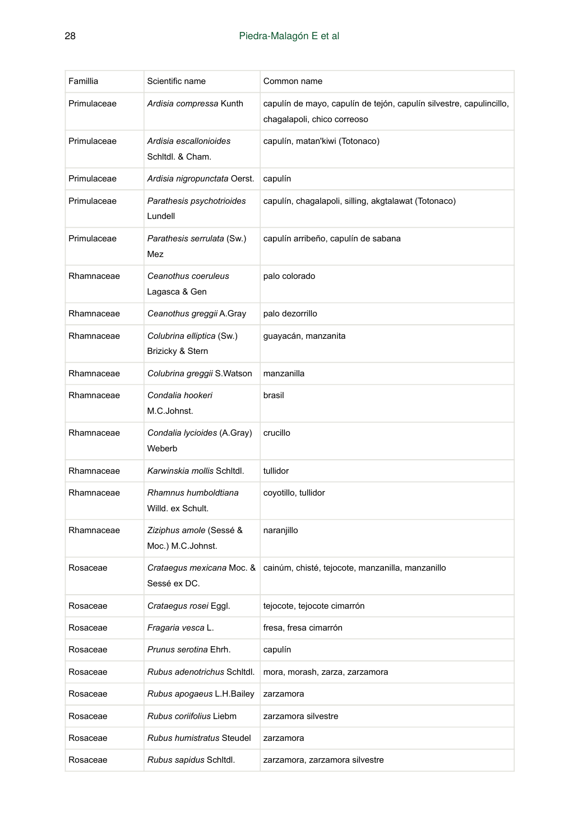| Famillia    | Scientific name                               | Common name                                                                                        |
|-------------|-----------------------------------------------|----------------------------------------------------------------------------------------------------|
| Primulaceae | Ardisia compressa Kunth                       | capulín de mayo, capulín de tejón, capulín silvestre, capulincillo,<br>chagalapoli, chico correoso |
| Primulaceae | Ardisia escallonioides<br>Schitdl. & Cham.    | capulín, matan'kiwi (Totonaco)                                                                     |
| Primulaceae | Ardisia nigropunctata Oerst.                  | capulín                                                                                            |
| Primulaceae | Parathesis psychotrioides<br>Lundell          | capulín, chagalapoli, silling, akgtalawat (Totonaco)                                               |
| Primulaceae | Parathesis serrulata (Sw.)<br>Mez             | capulín arribeño, capulín de sabana                                                                |
| Rhamnaceae  | Ceanothus coeruleus<br>Lagasca & Gen          | palo colorado                                                                                      |
| Rhamnaceae  | Ceanothus greggii A.Gray                      | palo dezorrillo                                                                                    |
| Rhamnaceae  | Colubrina elliptica (Sw.)<br>Brizicky & Stern | guayacán, manzanita                                                                                |
| Rhamnaceae  | Colubrina greggii S.Watson                    | manzanilla                                                                                         |
| Rhamnaceae  | Condalia hookeri<br>M.C.Johnst.               | brasil                                                                                             |
| Rhamnaceae  | Condalia lycioides (A.Gray)<br>Weberb         | crucillo                                                                                           |
| Rhamnaceae  | Karwinskia mollis Schltdl.                    | tullidor                                                                                           |
| Rhamnaceae  | Rhamnus humboldtiana<br>Willd. ex Schult.     | coyotillo, tullidor                                                                                |
| Rhamnaceae  | Ziziphus amole (Sessé &<br>Moc.) M.C.Johnst.  | naranjillo                                                                                         |
| Rosaceae    | Crataegus mexicana Moc. &<br>Sessé ex DC.     | cainúm, chisté, tejocote, manzanilla, manzanillo                                                   |
| Rosaceae    | Crataegus rosei Eggl.                         | tejocote, tejocote cimarrón                                                                        |
| Rosaceae    | <i>Fragaria vesca</i> L.                      | fresa, fresa cimarrón                                                                              |
| Rosaceae    | Prunus serotina Ehrh.                         | capulín                                                                                            |
| Rosaceae    | Rubus adenotrichus Schitdl.                   | mora, morash, zarza, zarzamora                                                                     |
| Rosaceae    | Rubus apogaeus L.H.Bailey                     | zarzamora                                                                                          |
| Rosaceae    | Rubus coriifolius Liebm                       | zarzamora silvestre                                                                                |
| Rosaceae    | Rubus humistratus Steudel                     | zarzamora                                                                                          |
| Rosaceae    | Rubus sapidus Schitdl.                        | zarzamora, zarzamora silvestre                                                                     |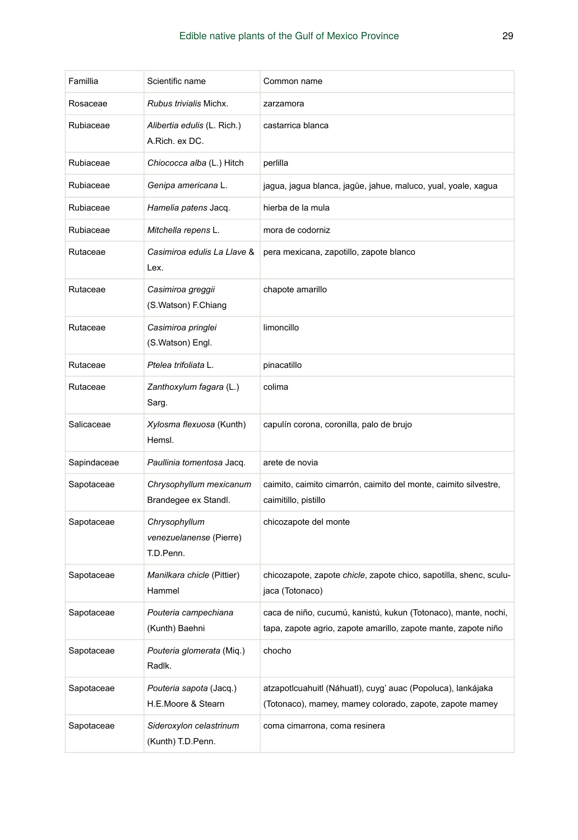| Famillia    | Scientific name                                       | Common name                                                                                                                      |
|-------------|-------------------------------------------------------|----------------------------------------------------------------------------------------------------------------------------------|
| Rosaceae    | Rubus trivialis Michx.                                | zarzamora                                                                                                                        |
| Rubiaceae   | Alibertia edulis (L. Rich.)<br>A.Rich. ex DC.         | castarrica blanca                                                                                                                |
| Rubiaceae   | Chiococca alba (L.) Hitch                             | perlilla                                                                                                                         |
| Rubiaceae   | Genipa americana L.                                   | jagua, jagua blanca, jagüe, jahue, maluco, yual, yoale, xagua                                                                    |
| Rubiaceae   | Hamelia patens Jacq.                                  | hierba de la mula                                                                                                                |
| Rubiaceae   | Mitchella repens L.                                   | mora de codorniz                                                                                                                 |
| Rutaceae    | Casimiroa edulis La Llave &<br>Lex.                   | pera mexicana, zapotillo, zapote blanco                                                                                          |
| Rutaceae    | Casimiroa greggii<br>(S.Watson) F.Chiang              | chapote amarillo                                                                                                                 |
| Rutaceae    | Casimiroa pringlei<br>(S.Watson) Engl.                | limoncillo                                                                                                                       |
| Rutaceae    | Ptelea trifoliata L.                                  | pinacatillo                                                                                                                      |
| Rutaceae    | Zanthoxylum fagara (L.)<br>Sarg.                      | colima                                                                                                                           |
| Salicaceae  | Xylosma flexuosa (Kunth)<br>Hemsl.                    | capulín corona, coronilla, palo de brujo                                                                                         |
| Sapindaceae | Paullinia tomentosa Jacq.                             | arete de novia                                                                                                                   |
| Sapotaceae  | Chrysophyllum mexicanum<br>Brandegee ex Standl.       | caimito, caimito cimarrón, caimito del monte, caimito silvestre,<br>caimitillo, pistillo                                         |
| Sapotaceae  | Chrysophyllum<br>venezuelanense (Pierre)<br>T.D.Penn. | chicozapote del monte                                                                                                            |
| Sapotaceae  | Manilkara chicle (Pittier)<br>Hammel                  | chicozapote, zapote chicle, zapote chico, sapotilla, shenc, sculu-<br>jaca (Totonaco)                                            |
| Sapotaceae  | Pouteria campechiana<br>(Kunth) Baehni                | caca de niño, cucumú, kanistú, kukun (Totonaco), mante, nochi,<br>tapa, zapote agrio, zapote amarillo, zapote mante, zapote niño |
| Sapotaceae  | Pouteria glomerata (Miq.)<br>Radlk.                   | chocho                                                                                                                           |
| Sapotaceae  | Pouteria sapota (Jacq.)<br>H.E.Moore & Stearn         | atzapotlcuahuitl (Náhuatl), cuyg' auac (Popoluca), lankájaka<br>(Totonaco), mamey, mamey colorado, zapote, zapote mamey          |
| Sapotaceae  | Sideroxylon celastrinum<br>(Kunth) T.D.Penn.          | coma cimarrona, coma resinera                                                                                                    |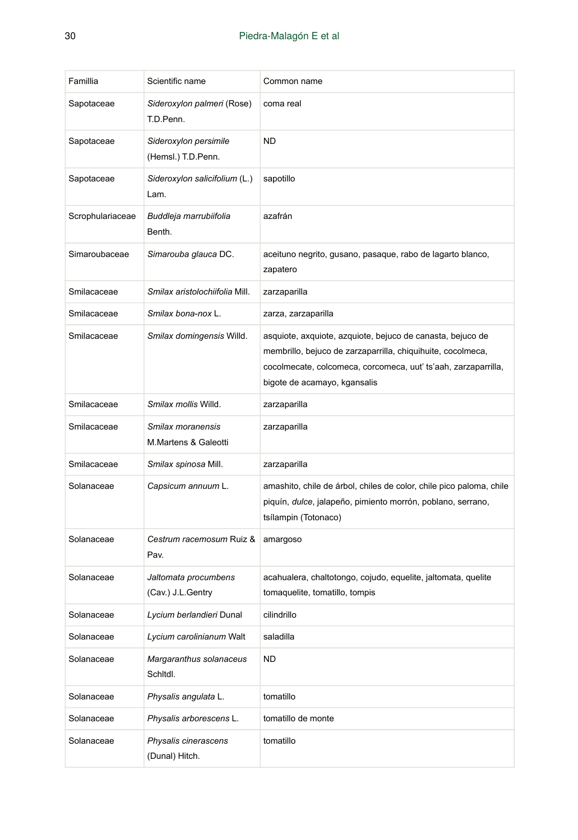| Famillia         | Scientific name                             | Common name                                                                                                                                                                                                                 |
|------------------|---------------------------------------------|-----------------------------------------------------------------------------------------------------------------------------------------------------------------------------------------------------------------------------|
| Sapotaceae       | Sideroxylon palmeri (Rose)<br>T.D.Penn.     | coma real                                                                                                                                                                                                                   |
| Sapotaceae       | Sideroxylon persimile<br>(Hemsl.) T.D.Penn. | <b>ND</b>                                                                                                                                                                                                                   |
| Sapotaceae       | Sideroxylon salicifolium (L.)<br>Lam.       | sapotillo                                                                                                                                                                                                                   |
| Scrophulariaceae | Buddleja marrubiifolia<br>Benth.            | azafrán                                                                                                                                                                                                                     |
| Simaroubaceae    | Simarouba glauca DC.                        | aceituno negrito, gusano, pasaque, rabo de lagarto blanco,<br>zapatero                                                                                                                                                      |
| Smilacaceae      | Smilax aristolochiifolia Mill.              | zarzaparilla                                                                                                                                                                                                                |
| Smilacaceae      | Smilax bona-nox L.                          | zarza, zarzaparilla                                                                                                                                                                                                         |
| Smilacaceae      | Smilax domingensis Willd.                   | asquiote, axquiote, azquiote, bejuco de canasta, bejuco de<br>membrillo, bejuco de zarzaparrilla, chiquihuite, cocolmeca,<br>cocolmecate, colcomeca, corcomeca, uut' ts'aah, zarzaparrilla,<br>bigote de acamayo, kgansalis |
| Smilacaceae      | Smilax mollis Willd.                        | zarzaparilla                                                                                                                                                                                                                |
| Smilacaceae      | Smilax moranensis<br>M.Martens & Galeotti   | zarzaparilla                                                                                                                                                                                                                |
| Smilacaceae      | Smilax spinosa Mill.                        | zarzaparilla                                                                                                                                                                                                                |
| Solanaceae       | Capsicum annuum L.                          | amashito, chile de árbol, chiles de color, chile pico paloma, chile<br>piquín, dulce, jalapeño, pimiento morrón, poblano, serrano,<br>tsílampin (Totonaco)                                                                  |
| Solanaceae       | Cestrum racemosum Ruiz &<br>Pav.            | amargoso                                                                                                                                                                                                                    |
| Solanaceae       | Jaltomata procumbens<br>(Cav.) J.L.Gentry   | acahualera, chaltotongo, cojudo, equelite, jaltomata, quelite<br>tomaquelite, tomatillo, tompis                                                                                                                             |
| Solanaceae       | Lycium berlandieri Dunal                    | cilindrillo                                                                                                                                                                                                                 |
| Solanaceae       | Lycium carolinianum Walt                    | saladilla                                                                                                                                                                                                                   |
| Solanaceae       | Margaranthus solanaceus<br>Schitdi.         | <b>ND</b>                                                                                                                                                                                                                   |
| Solanaceae       | Physalis angulata L.                        | tomatillo                                                                                                                                                                                                                   |
| Solanaceae       | Physalis arborescens L.                     | tomatillo de monte                                                                                                                                                                                                          |
| Solanaceae       | Physalis cinerascens<br>(Dunal) Hitch.      | tomatillo                                                                                                                                                                                                                   |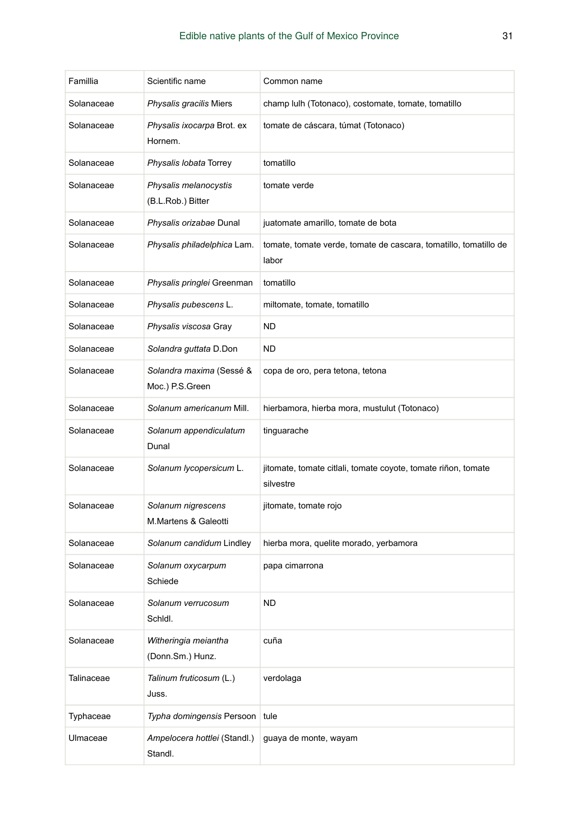| Famillia   | Scientific name                             | Common name                                                                |
|------------|---------------------------------------------|----------------------------------------------------------------------------|
| Solanaceae | Physalis gracilis Miers                     | champ lulh (Totonaco), costomate, tomate, tomatillo                        |
| Solanaceae | Physalis ixocarpa Brot. ex<br>Hornem.       | tomate de cáscara, túmat (Totonaco)                                        |
| Solanaceae | Physalis lobata Torrey                      | tomatillo                                                                  |
| Solanaceae | Physalis melanocystis<br>(B.L.Rob.) Bitter  | tomate verde                                                               |
| Solanaceae | Physalis orizabae Dunal                     | juatomate amarillo, tomate de bota                                         |
| Solanaceae | Physalis philadelphica Lam.                 | tomate, tomate verde, tomate de cascara, tomatillo, tomatillo de<br>labor  |
| Solanaceae | Physalis pringlei Greenman                  | tomatillo                                                                  |
| Solanaceae | Physalis pubescens L.                       | miltomate, tomate, tomatillo                                               |
| Solanaceae | Physalis viscosa Gray                       | <b>ND</b>                                                                  |
| Solanaceae | Solandra guttata D.Don                      | <b>ND</b>                                                                  |
| Solanaceae | Solandra maxima (Sessé &<br>Moc.) P.S.Green | copa de oro, pera tetona, tetona                                           |
| Solanaceae | Solanum americanum Mill.                    | hierbamora, hierba mora, mustulut (Totonaco)                               |
| Solanaceae | Solanum appendiculatum<br>Dunal             | tinguarache                                                                |
| Solanaceae | Solanum lycopersicum L.                     | jitomate, tomate citlali, tomate coyote, tomate riñon, tomate<br>silvestre |
| Solanaceae | Solanum nigrescens<br>M.Martens & Galeotti  | jitomate, tomate rojo                                                      |
| Solanaceae | Solanum candidum Lindley                    | hierba mora, quelite morado, yerbamora                                     |
| Solanaceae | Solanum oxycarpum<br>Schiede                | papa cimarrona                                                             |
| Solanaceae | Solanum verrucosum<br>Schidl.               | <b>ND</b>                                                                  |
| Solanaceae | Witheringia meiantha<br>(Donn.Sm.) Hunz.    | cuña                                                                       |
| Talinaceae | Talinum fruticosum (L.)<br>Juss.            | verdolaga                                                                  |
| Typhaceae  | Typha domingensis Persoon                   | tule                                                                       |
| Ulmaceae   | Ampelocera hottlei (Standl.)<br>Standl.     | guaya de monte, wayam                                                      |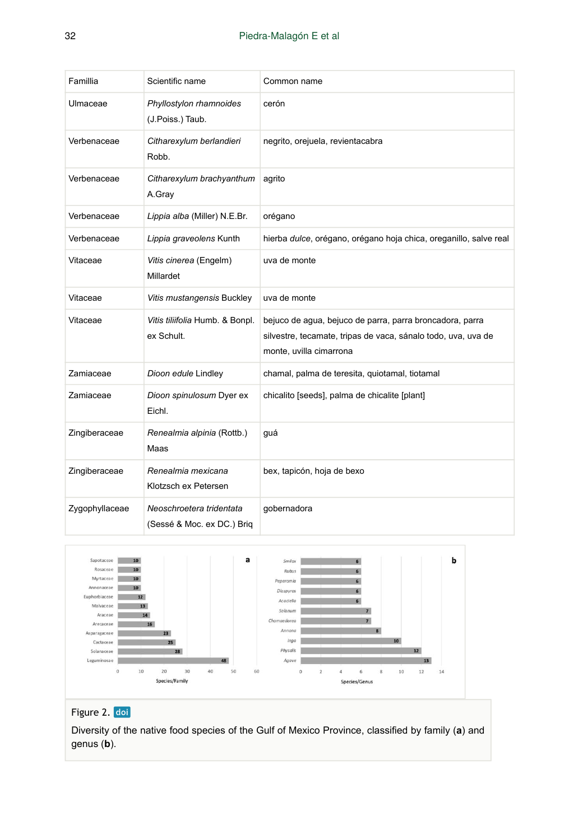| Famillia       | Scientific name                                        | Common name                                                                                                                                          |
|----------------|--------------------------------------------------------|------------------------------------------------------------------------------------------------------------------------------------------------------|
| Ulmaceae       | Phyllostylon rhamnoides<br>(J.Poiss.) Taub.            | cerón                                                                                                                                                |
| Verbenaceae    | Citharexylum berlandieri<br>Robb.                      | negrito, orejuela, revientacabra                                                                                                                     |
| Verbenaceae    | Citharexylum brachyanthum<br>A.Gray                    | agrito                                                                                                                                               |
| Verbenaceae    | Lippia alba (Miller) N.E.Br.                           | orégano                                                                                                                                              |
| Verbenaceae    | Lippia graveolens Kunth                                | hierba dulce, orégano, orégano hoja chica, oreganillo, salve real                                                                                    |
| Vitaceae       | Vitis cinerea (Engelm)<br>Millardet                    | uva de monte                                                                                                                                         |
| Vitaceae       | Vitis mustangensis Buckley                             | uva de monte                                                                                                                                         |
| Vitaceae       | Vitis tiliifolia Humb. & Bonpl.<br>ex Schult.          | bejuco de agua, bejuco de parra, parra broncadora, parra<br>silvestre, tecamate, tripas de vaca, sánalo todo, uva, uva de<br>monte, uvilla cimarrona |
| Zamiaceae      | Dioon edule Lindley                                    | chamal, palma de teresita, quiotamal, tiotamal                                                                                                       |
| Zamiaceae      | Dioon spinulosum Dyer ex<br>Eichl.                     | chicalito [seeds], palma de chicalite [plant]                                                                                                        |
| Zingiberaceae  | Renealmia alpinia (Rottb.)<br>Maas                     | guá                                                                                                                                                  |
| Zingiberaceae  | Renealmia mexicana<br>Klotzsch ex Petersen             | bex, tapicón, hoja de bexo                                                                                                                           |
| Zygophyllaceae | Neoschroetera tridentata<br>(Sessé & Moc. ex DC.) Brig | qobernadora                                                                                                                                          |

<span id="page-31-0"></span>

# Figure 2. doi

Diversity of the native food species of the Gulf of Mexico Province, classified by family (**a**) and genus (**b**).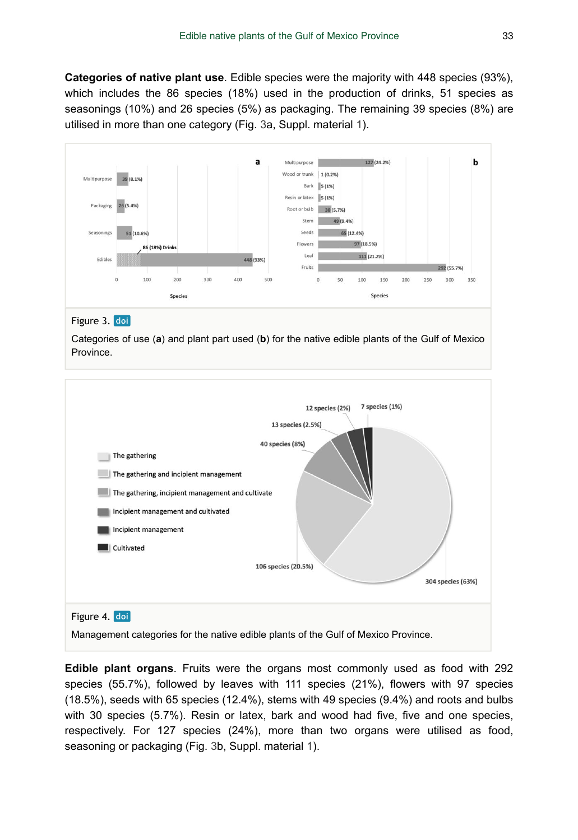**Categories of native plant use**. Edible species were the majority with 448 species (93%), which includes the 86 species (18%) used in the production of drinks, 51 species as seasonings (10%) and 26 species (5%) as packaging. The remaining 39 species (8%) are utilised in more than one category (Fig. [3a](#page-32-0), Suppl. material [1](#page-37-9)).

<span id="page-32-0"></span>

#### Figure 3. doi

Categories of use (**a**) and plant part used (**b**) for the native edible plants of the Gulf of Mexico Province.

<span id="page-32-1"></span>

**Edible plant organs**. Fruits were the organs most commonly used as food with 292 species (55.7%), followed by leaves with 111 species (21%), flowers with 97 species (18.5%), seeds with 65 species (12.4%), stems with 49 species (9.4%) and roots and bulbs with 30 species (5.7%). Resin or latex, bark and wood had five, five and one species, respectively. For 127 species (24%), more than two organs were utilised as food, seasoning or packaging (Fig. [3b](#page-32-0), Suppl. material [1](#page-37-9)).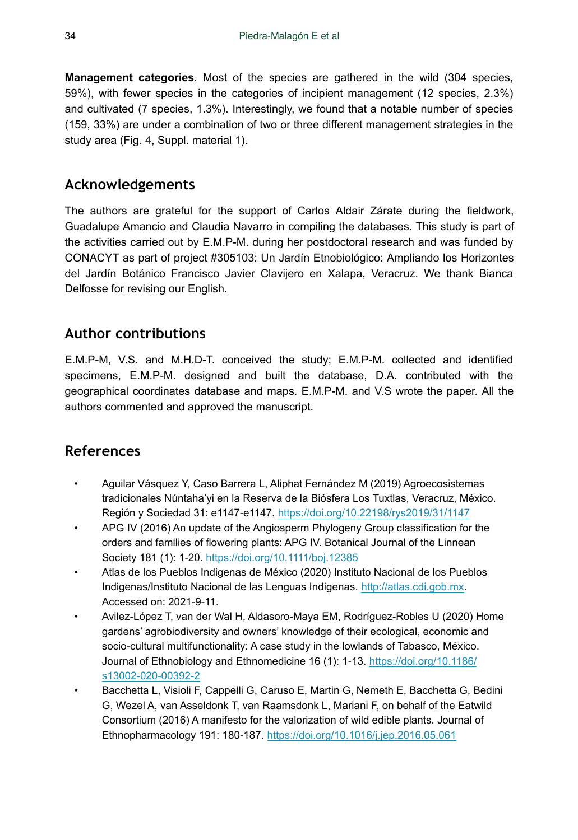**Management categories**. Most of the species are gathered in the wild (304 species, 59%), with fewer species in the categories of incipient management (12 species, 2.3%) and cultivated (7 species, 1.3%). Interestingly, we found that a notable number of species (159, 33%) are under a combination of two or three different management strategies in the study area (Fig. [4](#page-32-1), Suppl. material [1](#page-37-9)).

# **Acknowledgements**

The authors are grateful for the support of Carlos Aldair Zárate during the fieldwork, Guadalupe Amancio and Claudia Navarro in compiling the databases. This study is part of the activities carried out by E.M.P-M. during her postdoctoral research and was funded by CONACYT as part of project #305103: Un Jardín Etnobiológico: Ampliando los Horizontes del Jardín Botánico Francisco Javier Clavijero en Xalapa, Veracruz. We thank Bianca Delfosse for revising our English.

# **Author contributions**

E.M.P-M, V.S. and M.H.D-T. conceived the study; E.M.P-M. collected and identified specimens, E.M.P-M. designed and built the database, D.A. contributed with the geographical coordinates database and maps. E.M.P-M. and V.S wrote the paper. All the authors commented and approved the manuscript.

# **References**

- <span id="page-33-2"></span>• Aguilar Vásquez Y, Caso Barrera L, Aliphat Fernández M (2019) Agroecosistemas tradicionales Núntaha'yi en la Reserva de la Biósfera Los Tuxtlas, Veracruz, México. Región y Sociedad 31: e1147‑e1147. <https://doi.org/10.22198/rys2019/31/1147>
- <span id="page-33-4"></span>• APG IV (2016) An update of the Angiosperm Phylogeny Group classification for the orders and families of flowering plants: APG IV. Botanical Journal of the Linnean Society 181 (1): 1‑20. <https://doi.org/10.1111/boj.12385>
- <span id="page-33-1"></span>• Atlas de los Pueblos Indigenas de México (2020) Instituto Nacional de los Pueblos Indigenas/Instituto Nacional de las Lenguas Indigenas. <http://atlas.cdi.gob.mx>. Accessed on: 2021-9-11.
- <span id="page-33-3"></span>• Avilez-López T, van der Wal H, Aldasoro-Maya EM, Rodríguez-Robles U (2020) Home gardens' agrobiodiversity and owners' knowledge of their ecological, economic and socio-cultural multifunctionality: A case study in the lowlands of Tabasco, México. Journal of Ethnobiology and Ethnomedicine 16 (1): 1-13. [https://doi.org/10.1186/](https://doi.org/10.1186/s13002-020-00392-2) [s13002-020-00392-2](https://doi.org/10.1186/s13002-020-00392-2)
- <span id="page-33-0"></span>• Bacchetta L, Visioli F, Cappelli G, Caruso E, Martin G, Nemeth E, Bacchetta G, Bedini G, Wezel A, van Asseldonk T, van Raamsdonk L, Mariani F, on behalf of the Eatwild Consortium (2016) A manifesto for the valorization of wild edible plants. Journal of Ethnopharmacology 191: 180‑187. <https://doi.org/10.1016/j.jep.2016.05.061>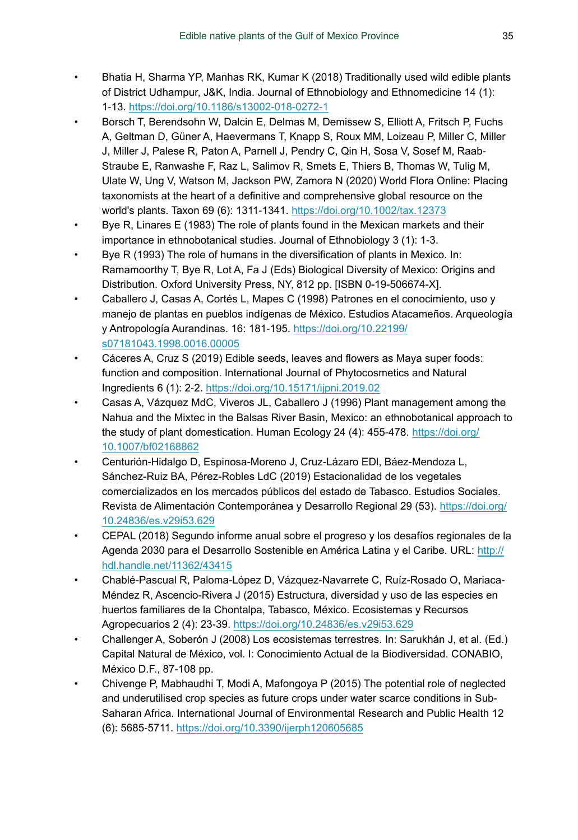- <span id="page-34-1"></span>• Bhatia H, Sharma YP, Manhas RK, Kumar K (2018) Traditionally used wild edible plants of District Udhampur, J&K, India. Journal of Ethnobiology and Ethnomedicine 14 (1): 1‑13.<https://doi.org/10.1186/s13002-018-0272-1>
- <span id="page-34-11"></span>• Borsch T, Berendsohn W, Dalcin E, Delmas M, Demissew S, Elliott A, Fritsch P, Fuchs A, Geltman D, Güner A, Haevermans T, Knapp S, Roux MM, Loizeau P, Miller C, Miller J, Miller J, Palese R, Paton A, Parnell J, Pendry C, Qin H, Sosa V, Sosef M, Raab‐ Straube E, Ranwashe F, Raz L, Salimov R, Smets E, Thiers B, Thomas W, Tulig M, Ulate W, Ung V, Watson M, Jackson PW, Zamora N (2020) World Flora Online: Placing taxonomists at the heart of a definitive and comprehensive global resource on the world's plants. Taxon 69 (6): 1311‑1341. <https://doi.org/10.1002/tax.12373>
- <span id="page-34-8"></span>• Bye R, Linares E (1983) The role of plants found in the Mexican markets and their importance in ethnobotanical studies. Journal of Ethnobiology 3 (1): 1‑3.
- <span id="page-34-9"></span>• Bye R (1993) The role of humans in the diversification of plants in Mexico. In: Ramamoorthy T, Bye R, Lot A, Fa J (Eds) Biological Diversity of Mexico: Origins and Distribution. Oxford University Press, NY, 812 pp. [ISBN 0-19-506674-X].
- <span id="page-34-10"></span>• Caballero J, Casas A, Cortés L, Mapes C (1998) Patrones en el conocimiento, uso y manejo de plantas en pueblos indígenas de México. Estudios Atacameños. Arqueología y Antropología Aurandinas. 16: 181‑195. [https://doi.org/10.22199/](https://doi.org/10.22199/s07181043.1998.0016.00005) [s07181043.1998.0016.00005](https://doi.org/10.22199/s07181043.1998.0016.00005)
- <span id="page-34-4"></span>• Cáceres A, Cruz S (2019) Edible seeds, leaves and flowers as Maya super foods: function and composition. International Journal of Phytocosmetics and Natural Ingredients 6 (1): 2‑2. <https://doi.org/10.15171/ijpni.2019.02>
- <span id="page-34-5"></span>• Casas A, Vázquez MdC, Viveros JL, Caballero J (1996) Plant management among the Nahua and the Mixtec in the Balsas River Basin, Mexico: an ethnobotanical approach to the study of plant domestication. Human Ecology 24 (4): 455-478. [https://doi.org/](https://doi.org/10.1007/bf02168862) [10.1007/bf02168862](https://doi.org/10.1007/bf02168862)
- <span id="page-34-3"></span>• Centurión-Hidalgo D, Espinosa-Moreno J, Cruz-Lázaro EDl, Báez-Mendoza L, Sánchez-Ruiz BA, Pérez-Robles LdC (2019) Estacionalidad de los vegetales comercializados en los mercados públicos del estado de Tabasco. Estudios Sociales. Revista de Alimentación Contemporánea y Desarrollo Regional 29 (53). [https://doi.org/](https://doi.org/10.24836/es.v29i53.629) [10.24836/es.v29i53.629](https://doi.org/10.24836/es.v29i53.629)
- <span id="page-34-2"></span>• CEPAL (2018) Segundo informe anual sobre el progreso y los desafíos regionales de la Agenda 2030 para el Desarrollo Sostenible en América Latina y el Caribe. URL: [http://](http://hdl.handle.net/11362/43415) [hdl.handle.net/11362/43415](http://hdl.handle.net/11362/43415)
- <span id="page-34-7"></span>• Chablé-Pascual R, Paloma-López D, Vázquez-Navarrete C, Ruíz-Rosado O, Mariaca-Méndez R, Ascencio-Rivera J (2015) Estructura, diversidad y uso de las especies en huertos familiares de la Chontalpa, Tabasco, México. Ecosistemas y Recursos Agropecuarios 2 (4): 23‑39. <https://doi.org/10.24836/es.v29i53.629>
- <span id="page-34-6"></span>• Challenger A, Soberón J (2008) Los ecosistemas terrestres. In: Sarukhán J, et al. (Ed.) Capital Natural de México, vol. I: Conocimiento Actual de la Biodiversidad. CONABIO, México D.F., 87-108 pp.
- <span id="page-34-0"></span>• Chivenge P, Mabhaudhi T, Modi A, Mafongoya P (2015) The potential role of neglected and underutilised crop species as future crops under water scarce conditions in Sub-Saharan Africa. International Journal of Environmental Research and Public Health 12 (6): 5685‑5711. <https://doi.org/10.3390/ijerph120605685>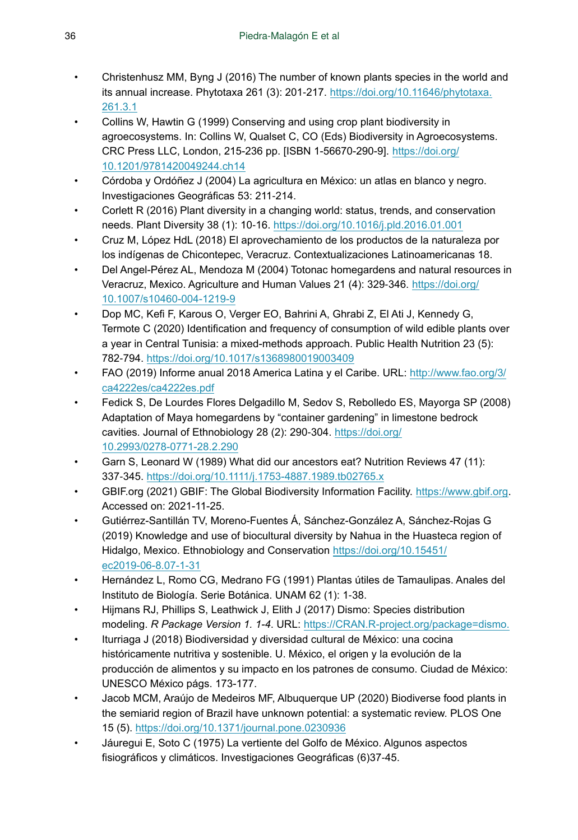- <span id="page-35-0"></span>• Christenhusz MM, Byng J (2016) The number of known plants species in the world and its annual increase. Phytotaxa 261 (3): 201‑217. [https://doi.org/10.11646/phytotaxa.](https://doi.org/10.11646/phytotaxa.261.3.1) [261.3.1](https://doi.org/10.11646/phytotaxa.261.3.1)
- <span id="page-35-3"></span>• Collins W, Hawtin G (1999) Conserving and using crop plant biodiversity in agroecosystems. In: Collins W, Qualset C, CO (Eds) Biodiversity in Agroecosystems. CRC Press LLC, London, 215-236 pp. [ISBN 1-56670-290-9]. [https://doi.org/](https://doi.org/10.1201/9781420049244.ch14) [10.1201/9781420049244.ch14](https://doi.org/10.1201/9781420049244.ch14)
- <span id="page-35-13"></span>• Córdoba y Ordóñez J (2004) La agricultura en México: un atlas en blanco y negro. Investigaciones Geográficas 53: 211‑214.
- <span id="page-35-2"></span>• Corlett R (2016) Plant diversity in a changing world: status, trends, and conservation needs. Plant Diversity 38 (1): 10‑16.<https://doi.org/10.1016/j.pld.2016.01.001>
- <span id="page-35-14"></span>• Cruz M, López HdL (2018) El aprovechamiento de los productos de la naturaleza por los indígenas de Chicontepec, Veracruz. Contextualizaciones Latinoamericanas 18.
- <span id="page-35-9"></span>• Del Angel-Pérez AL, Mendoza M (2004) Totonac homegardens and natural resources in Veracruz, Mexico. Agriculture and Human Values 21 (4): 329‑346. [https://doi.org/](https://doi.org/10.1007/s10460-004-1219-9) [10.1007/s10460-004-1219-9](https://doi.org/10.1007/s10460-004-1219-9)
- <span id="page-35-5"></span>• Dop MC, Kefi F, Karous O, Verger EO, Bahrini A, Ghrabi Z, El Ati J, Kennedy G, Termote C (2020) Identification and frequency of consumption of wild edible plants over a year in Central Tunisia: a mixed-methods approach. Public Health Nutrition 23 (5): 782‑794. <https://doi.org/10.1017/s1368980019003409>
- <span id="page-35-4"></span>• FAO (2019) Informe anual 2018 America Latina y el Caribe. URL: [http://www.fao.org/3/](http://www.fao.org/3/ca4222es/ca4222es.pdf) [ca4222es/ca4222es.pdf](http://www.fao.org/3/ca4222es/ca4222es.pdf)
- <span id="page-35-10"></span>• Fedick S, De Lourdes Flores Delgadillo M, Sedov S, Rebolledo ES, Mayorga SP (2008) Adaptation of Maya homegardens by "container gardening" in limestone bedrock cavities. Journal of Ethnobiology 28 (2): 290-304. [https://doi.org/](https://doi.org/10.2993/0278-0771-28.2.290) [10.2993/0278-0771-28.2.290](https://doi.org/10.2993/0278-0771-28.2.290)
- <span id="page-35-1"></span>• Garn S, Leonard W (1989) What did our ancestors eat? Nutrition Reviews 47 (11): 337‑345. <https://doi.org/10.1111/j.1753-4887.1989.tb02765.x>
- <span id="page-35-15"></span>• GBIF.org (2021) GBIF: The Global Biodiversity Information Facility. [https://www.gbif.org.](https://www.gbif.org) Accessed on: 2021-11-25.
- <span id="page-35-11"></span>• Gutiérrez-Santillán TV, Moreno-Fuentes Á, Sánchez-González A, Sánchez-Rojas G (2019) Knowledge and use of biocultural diversity by Nahua in the Huasteca region of Hidalgo, Mexico. Ethnobiology and Conservation [https://doi.org/10.15451/](https://doi.org/10.15451/ec2019-06-8.07-1-31) [ec2019-06-8.07-1-31](https://doi.org/10.15451/ec2019-06-8.07-1-31)
- <span id="page-35-8"></span>• Hernández L, Romo CG, Medrano FG (1991) Plantas útiles de Tamaulipas. Anales del Instituto de Biología. Serie Botánica. UNAM 62 (1): 1‑38.
- <span id="page-35-16"></span>• Hijmans RJ, Phillips S, Leathwick J, Elith J (2017) Dismo: Species distribution modeling. *R Package Version 1. 1-4*. URL: <https://CRAN.R-project.org/package=dismo.>
- <span id="page-35-7"></span>• Iturriaga J (2018) Biodiversidad y diversidad cultural de México: una cocina históricamente nutritiva y sostenible. U. México, el origen y la evolución de la producción de alimentos y su impacto en los patrones de consumo. Ciudad de México: UNESCO México págs. 173-177.
- <span id="page-35-6"></span>• Jacob MCM, Araújo de Medeiros MF, Albuquerque UP (2020) Biodiverse food plants in the semiarid region of Brazil have unknown potential: a systematic review. PLOS One 15 (5). <https://doi.org/10.1371/journal.pone.0230936>
- <span id="page-35-12"></span>• Jáuregui E, Soto C (1975) La vertiente del Golfo de México. Algunos aspectos fisiográficos y climáticos. Investigaciones Geográficas (6)37‑45.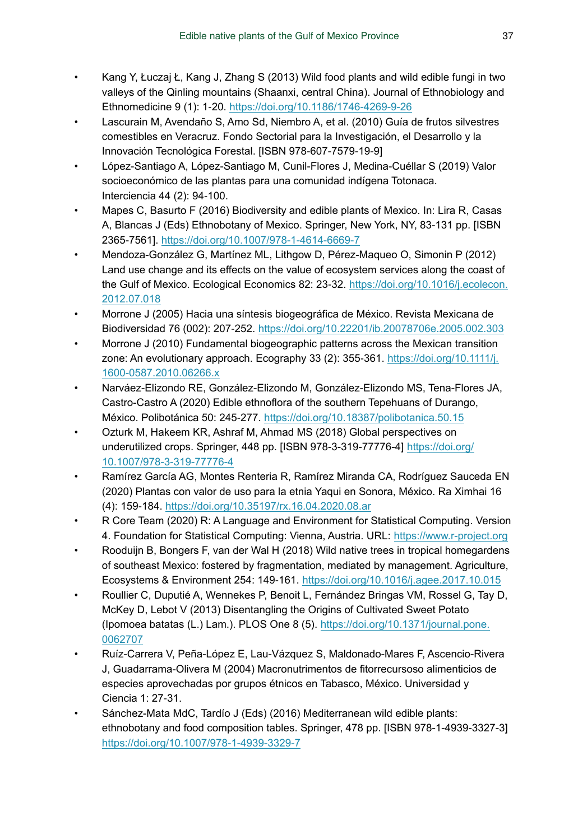- <span id="page-36-0"></span>• Kang Y, Łuczaj Ł, Kang J, Zhang S (2013) Wild food plants and wild edible fungi in two valleys of the Qinling mountains (Shaanxi, central China). Journal of Ethnobiology and Ethnomedicine 9 (1): 1‑20. <https://doi.org/10.1186/1746-4269-9-26>
- <span id="page-36-5"></span>• Lascurain M, Avendaño S, Amo Sd, Niembro A, et al. (2010) Guía de frutos silvestres comestibles en Veracruz. Fondo Sectorial para la Investigación, el Desarrollo y la Innovación Tecnológica Forestal. [ISBN 978-607-7579-19-9]
- <span id="page-36-13"></span>• López-Santiago A, López-Santiago M, Cunil-Flores J, Medina-Cuéllar S (2019) Valor socioeconómico de las plantas para una comunidad indígena Totonaca. Interciencia 44 (2): 94‑100.
- <span id="page-36-3"></span>• Mapes C, Basurto F (2016) Biodiversity and edible plants of Mexico. In: Lira R, Casas A, Blancas J (Eds) Ethnobotany of Mexico. Springer, New York, NY, 83-131 pp. [ISBN 2365-7561].<https://doi.org/10.1007/978-1-4614-6669-7>
- <span id="page-36-10"></span>• Mendoza-González G, Martínez ML, Lithgow D, Pérez-Maqueo O, Simonin P (2012) Land use change and its effects on the value of ecosystem services along the coast of the Gulf of Mexico. Ecological Economics 82: 23‑32. [https://doi.org/10.1016/j.ecolecon.](https://doi.org/10.1016/j.ecolecon.2012.07.018) [2012.07.018](https://doi.org/10.1016/j.ecolecon.2012.07.018)
- <span id="page-36-8"></span>• Morrone J (2005) Hacia una síntesis biogeográfica de México. Revista Mexicana de Biodiversidad 76 (002): 207‑252. <https://doi.org/10.22201/ib.20078706e.2005.002.303>
- <span id="page-36-9"></span>• Morrone J (2010) Fundamental biogeographic patterns across the Mexican transition zone: An evolutionary approach. Ecography 33 (2): 355-361. [https://doi.org/10.1111/j.](https://doi.org/10.1111/j.1600-0587.2010.06266.x) [1600-0587.2010.06266.x](https://doi.org/10.1111/j.1600-0587.2010.06266.x)
- <span id="page-36-6"></span>• Narváez-Elizondo RE, González-Elizondo M, González-Elizondo MS, Tena-Flores JA, Castro-Castro A (2020) Edible ethnoflora of the southern Tepehuans of Durango, México. Polibotánica 50: 245‑277. <https://doi.org/10.18387/polibotanica.50.15>
- <span id="page-36-2"></span>• Ozturk M, Hakeem KR, Ashraf M, Ahmad MS (2018) Global perspectives on underutilized crops. Springer, 448 pp. [ISBN 978-3-319-77776-4] [https://doi.org/](https://doi.org/10.1007/978-3-319-77776-4) [10.1007/978-3-319-77776-4](https://doi.org/10.1007/978-3-319-77776-4)
- <span id="page-36-7"></span>• Ramírez García AG, Montes Renteria R, Ramírez Miranda CA, Rodríguez Sauceda EN (2020) Plantas con valor de uso para la etnia Yaqui en Sonora, México. Ra Ximhai 16 (4): 159‑184. <https://doi.org/10.35197/rx.16.04.2020.08.ar>
- <span id="page-36-14"></span>• R Core Team (2020) R: A Language and Environment for Statistical Computing. Version 4. Foundation for Statistical Computing: Vienna, Austria. URL:<https://www.r-project.org>
- <span id="page-36-12"></span>• Rooduijn B, Bongers F, van der Wal H (2018) Wild native trees in tropical homegardens of southeast Mexico: fostered by fragmentation, mediated by management. Agriculture, Ecosystems & Environment 254: 149‑161. <https://doi.org/10.1016/j.agee.2017.10.015>
- <span id="page-36-11"></span>• Roullier C, Duputié A, Wennekes P, Benoit L, Fernández Bringas VM, Rossel G, Tay D, McKey D, Lebot V (2013) Disentangling the Origins of Cultivated Sweet Potato (Ipomoea batatas (L.) Lam.). PLOS One 8 (5). [https://doi.org/10.1371/journal.pone.](https://doi.org/10.1371/journal.pone.0062707) [0062707](https://doi.org/10.1371/journal.pone.0062707)
- <span id="page-36-4"></span>• Ruíz-Carrera V, Peña-López E, Lau-Vázquez S, Maldonado-Mares F, Ascencio-Rivera J, Guadarrama-Olivera M (2004) Macronutrimentos de fitorrecursoso alimenticios de especies aprovechadas por grupos étnicos en Tabasco, México. Universidad y Ciencia 1: 27‑31.
- <span id="page-36-1"></span>• Sánchez-Mata MdC, Tardío J (Eds) (2016) Mediterranean wild edible plants: ethnobotany and food composition tables. Springer, 478 pp. [ISBN 978-1-4939-3327-3] <https://doi.org/10.1007/978-1-4939-3329-7>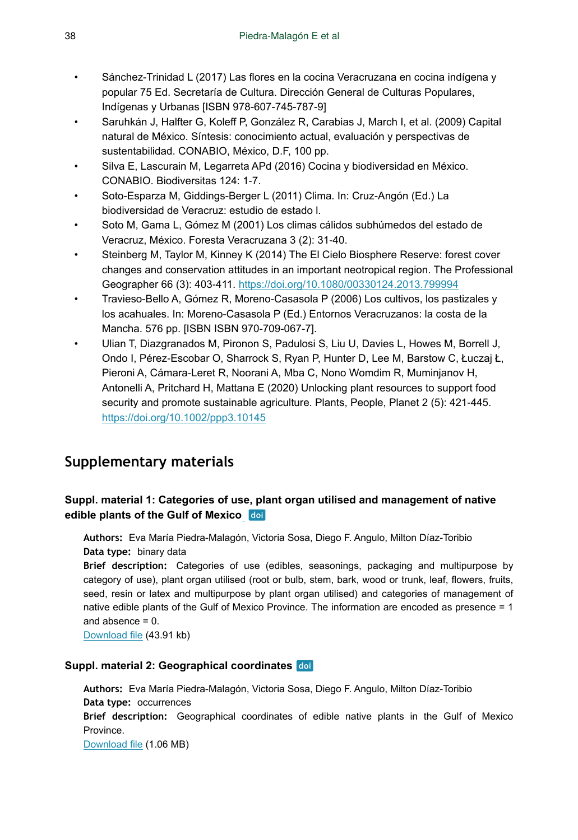- <span id="page-37-3"></span>• Sánchez-Trinidad L (2017) Las flores en la cocina Veracruzana en cocina indígena y popular 75 Ed. Secretaría de Cultura. Dirección General de Culturas Populares, Indígenas y Urbanas [ISBN 978-607-745-787-9]
- <span id="page-37-1"></span>• Saruhkán J, Halfter G, Koleff P, González R, Carabias J, March I, et al. (2009) Capital natural de México. Síntesis: conocimiento actual, evaluación y perspectivas de sustentabilidad. CONABIO, México, D.F, 100 pp.
- <span id="page-37-2"></span>• Silva E, Lascurain M, Legarreta APd (2016) Cocina y biodiversidad en México. CONABIO. Biodiversitas 124: 1‑7.
- <span id="page-37-5"></span>• Soto-Esparza M, Giddings-Berger L (2011) Clima. In: Cruz-Angón (Ed.) La biodiversidad de Veracruz: estudio de estado l.
- <span id="page-37-4"></span>• Soto M, Gama L, Gómez M (2001) Los climas cálidos subhúmedos del estado de Veracruz, México. Foresta Veracruzana 3 (2): 31‑40.
- <span id="page-37-6"></span>• Steinberg M, Taylor M, Kinney K (2014) The El Cielo Biosphere Reserve: forest cover changes and conservation attitudes in an important neotropical region. The Professional Geographer 66 (3): 403‑411. <https://doi.org/10.1080/00330124.2013.799994>
- <span id="page-37-7"></span>• Travieso-Bello A, Gómez R, Moreno-Casasola P (2006) Los cultivos, los pastizales y los acahuales. In: Moreno-Casasola P (Ed.) Entornos Veracruzanos: la costa de la Mancha. 576 pp. [ISBN ISBN 970-709-067-7].
- <span id="page-37-0"></span>• Ulian T, Diazgranados M, Pironon S, Padulosi S, Liu U, Davies L, Howes M, Borrell J, Ondo I, Pérez‐Escobar O, Sharrock S, Ryan P, Hunter D, Lee M, Barstow C, Łuczaj Ł, Pieroni A, Cámara‐Leret R, Noorani A, Mba C, Nono Womdim R, Muminjanov H, Antonelli A, Pritchard H, Mattana E (2020) Unlocking plant resources to support food security and promote sustainable agriculture. Plants, People, Planet 2 (5): 421‑445. <https://doi.org/10.1002/ppp3.10145>

# **Supplementary materials**

## <span id="page-37-9"></span>**Suppl. material 1: Categories of use, plant organ utilised and management of native edible plants of the Gulf of Mexico**

**Authors:** Eva María Piedra-Malagón, Victoria Sosa, Diego F. Angulo, Milton Díaz-Toribio **Data type:** binary data

**Brief description:** Categories of use (edibles, seasonings, packaging and multipurpose by category of use), plant organ utilised (root or bulb, stem, bark, wood or trunk, leaf, flowers, fruits, seed, resin or latex and multipurpose by plant organ utilised) and categories of management of native edible plants of the Gulf of Mexico Province. The information are encoded as presence = 1 and absence = 0.

[Download file](https://arpha.pensoft.net/getfile.php?filename=oo_654412.csv) (43.91 kb)

#### <span id="page-37-8"></span>**Suppl. material 2: Geographical coordinates**

**Authors:** Eva María Piedra-Malagón, Victoria Sosa, Diego F. Angulo, Milton Díaz-Toribio **Data type:** occurrences **Brief description:** Geographical coordinates of edible native plants in the Gulf of Mexico Province. [Download file](https://arpha.pensoft.net/getfile.php?filename=oo_654413.csv) (1.06 MB)